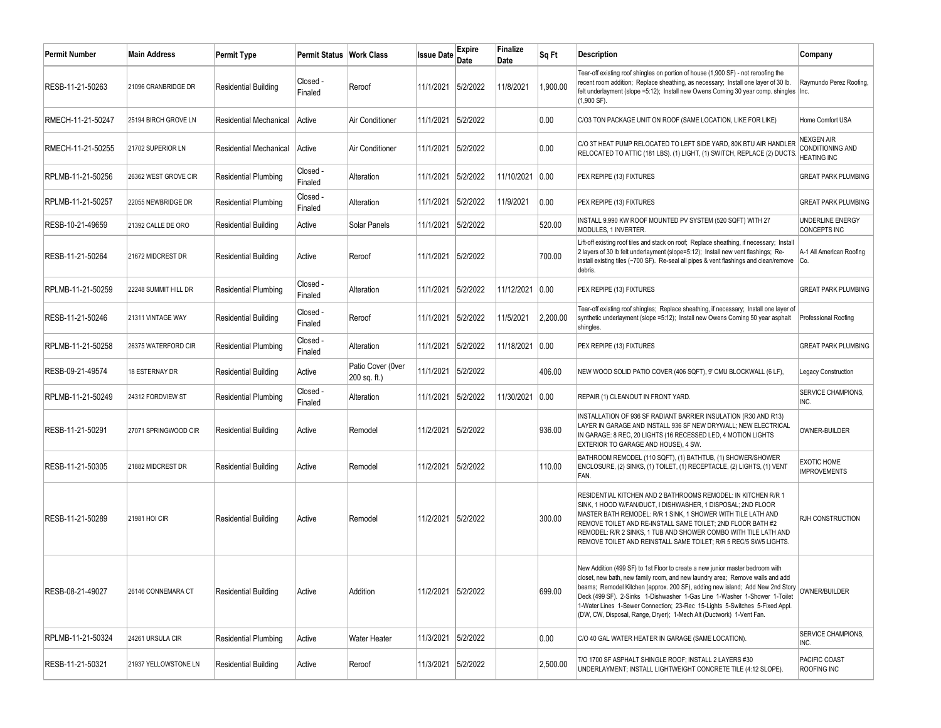| <b>Permit Number</b> | <b>Main Address</b>  | <b>Permit Type</b>            | Permit Status       | <b>Work Class</b>                 | <b>Issue Date</b>  | Expire<br>Date | Finalize<br>Date | Sq Ft    | <b>Description</b>                                                                                                                                                                                                                                                                                                                                                                                                                                                                 | Company                                                     |
|----------------------|----------------------|-------------------------------|---------------------|-----------------------------------|--------------------|----------------|------------------|----------|------------------------------------------------------------------------------------------------------------------------------------------------------------------------------------------------------------------------------------------------------------------------------------------------------------------------------------------------------------------------------------------------------------------------------------------------------------------------------------|-------------------------------------------------------------|
| RESB-11-21-50263     | 21096 CRANBRIDGE DR  | <b>Residential Building</b>   | Closed -<br>Finaled | Reroof                            | 11/1/2021          | 5/2/2022       | 11/8/2021        | 1,900.00 | Tear-off existing roof shingles on portion of house (1,900 SF) - not reroofing the<br>recent room addition; Replace sheathing, as necessary; Install one layer of 30 lb.<br>felt underlayment (slope =5:12); Install new Owens Corning 30 year comp. shingles<br>(1,900 SF).                                                                                                                                                                                                       | Raymundo Perez Roofing,<br>Inc.                             |
| RMECH-11-21-50247    | 25194 BIRCH GROVE LN | <b>Residential Mechanical</b> | Active              | Air Conditioner                   | 11/1/2021          | 5/2/2022       |                  | 0.00     | C/O3 TON PACKAGE UNIT ON ROOF (SAME LOCATION, LIKE FOR LIKE)                                                                                                                                                                                                                                                                                                                                                                                                                       | Home Comfort USA                                            |
| RMECH-11-21-50255    | 21702 SUPERIOR LN    | <b>Residential Mechanical</b> | Active              | Air Conditioner                   | 11/1/2021          | 5/2/2022       |                  | 0.00     | C/O 3T HEAT PUMP RELOCATED TO LEFT SIDE YARD, 80K BTU AIR HANDLER<br>RELOCATED TO ATTIC (181 LBS). (1) LIGHT, (1) SWITCH, REPLACE (2) DUCTS.                                                                                                                                                                                                                                                                                                                                       | <b>NEXGEN AIR</b><br>CONDITIONING AND<br><b>HEATING INC</b> |
| RPLMB-11-21-50256    | 26362 WEST GROVE CIR | <b>Residential Plumbing</b>   | Closed -<br>Finaled | Alteration                        | 11/1/2021          | 5/2/2022       | 11/10/2021       | 0.00     | PEX REPIPE (13) FIXTURES                                                                                                                                                                                                                                                                                                                                                                                                                                                           | <b>GREAT PARK PLUMBING</b>                                  |
| RPLMB-11-21-50257    | 22055 NEWBRIDGE DR   | <b>Residential Plumbing</b>   | Closed -<br>Finaled | Alteration                        | 11/1/2021          | 5/2/2022       | 11/9/2021        | 0.00     | PEX REPIPE (13) FIXTURES                                                                                                                                                                                                                                                                                                                                                                                                                                                           | <b>GREAT PARK PLUMBING</b>                                  |
| RESB-10-21-49659     | 21392 CALLE DE ORO   | <b>Residential Building</b>   | Active              | Solar Panels                      | 11/1/2021          | 5/2/2022       |                  | 520.00   | INSTALL 9.990 KW ROOF MOUNTED PV SYSTEM (520 SQFT) WITH 27<br>MODULES, 1 INVERTER.                                                                                                                                                                                                                                                                                                                                                                                                 | UNDERLINE ENERGY<br><b>CONCEPTS INC</b>                     |
| RESB-11-21-50264     | 21672 MIDCREST DR    | <b>Residential Building</b>   | Active              | Reroof                            | 11/1/2021 5/2/2022 |                |                  | 700.00   | Lift-off existing roof tiles and stack on roof; Replace sheathing, if necessary; Install<br>2 layers of 30 lb felt underlayment (slope=5:12); Install new vent flashings; Re-<br>install existing tiles (~700 SF). Re-seal all pipes & vent flashings and clean/remove Co.<br>debris.                                                                                                                                                                                              | A-1 All American Roofing                                    |
| RPLMB-11-21-50259    | 22248 SUMMIT HILL DR | <b>Residential Plumbing</b>   | Closed -<br>Finaled | Alteration                        | 11/1/2021          | 5/2/2022       | 11/12/2021       | 0.00     | PEX REPIPE (13) FIXTURES                                                                                                                                                                                                                                                                                                                                                                                                                                                           | <b>GREAT PARK PLUMBING</b>                                  |
| RESB-11-21-50246     | 21311 VINTAGE WAY    | <b>Residential Building</b>   | Closed<br>Finaled   | Reroof                            | 11/1/2021          | 5/2/2022       | 11/5/2021        | 2,200.00 | Tear-off existing roof shingles; Replace sheathing, if necessary; Install one layer of<br>synthetic underlayment (slope =5:12); Install new Owens Corning 50 year asphalt<br>shingles.                                                                                                                                                                                                                                                                                             | Professional Roofing                                        |
| RPLMB-11-21-50258    | 26375 WATERFORD CIR  | Residential Plumbing          | Closed<br>Finaled   | Alteration                        | 11/1/2021          | 5/2/2022       | 11/18/2021       | 0.00     | PEX REPIPE (13) FIXTURES                                                                                                                                                                                                                                                                                                                                                                                                                                                           | <b>GREAT PARK PLUMBING</b>                                  |
| RESB-09-21-49574     | 18 ESTERNAY DR       | <b>Residential Building</b>   | Active              | Patio Cover (0ver<br>200 sq. ft.) | 11/1/2021 5/2/2022 |                |                  | 406.00   | NEW WOOD SOLID PATIO COVER (406 SQFT), 9' CMU BLOCKWALL (6 LF),                                                                                                                                                                                                                                                                                                                                                                                                                    | Legacy Construction                                         |
| RPLMB-11-21-50249    | 24312 FORDVIEW ST    | <b>Residential Plumbing</b>   | Closed -<br>Finaled | Alteration                        | 11/1/2021          | 5/2/2022       | 11/30/2021       | 0.00     | REPAIR (1) CLEANOUT IN FRONT YARD.                                                                                                                                                                                                                                                                                                                                                                                                                                                 | <b>SERVICE CHAMPIONS.</b><br>INC.                           |
| RESB-11-21-50291     | 27071 SPRINGWOOD CIR | <b>Residential Building</b>   | Active              | Remodel                           | 11/2/2021          | 5/2/2022       |                  | 936.00   | INSTALLATION OF 936 SF RADIANT BARRIER INSULATION (R30 AND R13)<br>LAYER IN GARAGE AND INSTALL 936 SF NEW DRYWALL; NEW ELECTRICAL<br>IN GARAGE: 8 REC, 20 LIGHTS (16 RECESSED LED, 4 MOTION LIGHTS<br>EXTERIOR TO GARAGE AND HOUSE), 4 SW.                                                                                                                                                                                                                                         | OWNER-BUILDER                                               |
| RESB-11-21-50305     | 21882 MIDCREST DR    | <b>Residential Building</b>   | Active              | Remodel                           | 11/2/2021          | 5/2/2022       |                  | 110.00   | BATHROOM REMODEL (110 SQFT), (1) BATHTUB, (1) SHOWER/SHOWER<br>ENCLOSURE, (2) SINKS, (1) TOILET, (1) RECEPTACLE, (2) LIGHTS, (1) VENT<br>FAN.                                                                                                                                                                                                                                                                                                                                      | <b>EXOTIC HOME</b><br><b>IMPROVEMENTS</b>                   |
| RESB-11-21-50289     | <b>21981 HOI CIR</b> | <b>Residential Building</b>   | Active              | Remodel                           | 11/2/2021          | 5/2/2022       |                  | 300.00   | RESIDENTIAL KITCHEN AND 2 BATHROOMS REMODEL: IN KITCHEN R/R 1<br>SINK, 1 HOOD W/FAN/DUCT, I DISHWASHER, 1 DISPOSAL; 2ND FLOOR<br>MASTER BATH REMODEL: R/R 1 SINK, 1 SHOWER WITH TILE LATH AND<br>REMOVE TOILET AND RE-INSTALL SAME TOILET; 2ND FLOOR BATH #2<br>REMODEL: R/R 2 SINKS, 1 TUB AND SHOWER COMBO WITH TILE LATH AND<br>REMOVE TOILET AND REINSTALL SAME TOILET; R/R 5 REC/5 SW/5 LIGHTS.                                                                               | RJH CONSTRUCTION                                            |
| RESB-08-21-49027     | 26146 CONNEMARA CT   | <b>Residential Building</b>   | Active              | Addition                          | 11/2/2021 5/2/2022 |                |                  | 699.00   | New Addition (499 SF) to 1st Floor to create a new junior master bedroom with<br>closet, new bath, new family room, and new laundry area; Remove walls and add<br>beams; Remodel Kitchen (approx. 200 SF), adding new island; Add New 2nd Story<br>Deck (499 SF). 2-Sinks 1-Dishwasher 1-Gas Line 1-Washer 1-Shower 1-Toilet<br>1-Water Lines 1-Sewer Connection; 23-Rec 15-Lights 5-Switches 5-Fixed Appl.<br>(DW, CW, Disposal, Range, Dryer); 1-Mech Alt (Ductwork) 1-Vent Fan. | OWNER/BUILDER                                               |
| RPLMB-11-21-50324    | 24261 URSULA CIR     | <b>Residential Plumbing</b>   | Active              | Water Heater                      | 11/3/2021 5/2/2022 |                |                  | 0.00     | C/O 40 GAL WATER HEATER IN GARAGE (SAME LOCATION).                                                                                                                                                                                                                                                                                                                                                                                                                                 | SERVICE CHAMPIONS,<br>INC.                                  |
| RESB-11-21-50321     | 21937 YELLOWSTONE LN | <b>Residential Building</b>   | Active              | Reroof                            | 11/3/2021 5/2/2022 |                |                  | 2,500.00 | T/O 1700 SF ASPHALT SHINGLE ROOF; INSTALL 2 LAYERS #30<br>UNDERLAYMENT; INSTALL LIGHTWEIGHT CONCRETE TILE (4:12 SLOPE).                                                                                                                                                                                                                                                                                                                                                            | PACIFIC COAST<br>ROOFING INC                                |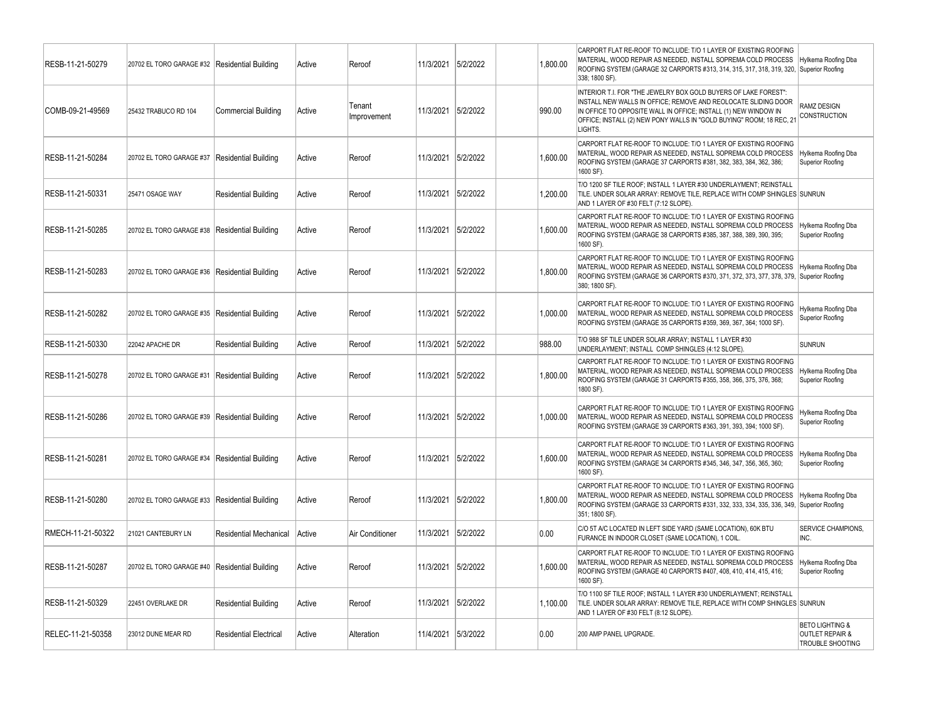| RESB-11-21-50279  | 20702 EL TORO GARAGE #32                        | Residential Building          | Active | Reroof                | 11/3/2021          | 5/2/2022 | 1.800.00 | CARPORT FLAT RE-ROOF TO INCLUDE: T/O 1 LAYER OF EXISTING ROOFING<br>MATERIAL, WOOD REPAIR AS NEEDED, INSTALL SOPREMA COLD PROCESS<br>ROOFING SYSTEM (GARAGE 32 CARPORTS #313, 314, 315, 317, 318, 319, 320,<br>338; 1800 SF)                                                            | Hylkema Roofing Dba<br>Superior Roofing                                      |
|-------------------|-------------------------------------------------|-------------------------------|--------|-----------------------|--------------------|----------|----------|-----------------------------------------------------------------------------------------------------------------------------------------------------------------------------------------------------------------------------------------------------------------------------------------|------------------------------------------------------------------------------|
| COMB-09-21-49569  | 25432 TRABUCO RD 104                            | <b>Commercial Building</b>    | Active | Tenant<br>Improvement | 11/3/2021          | 5/2/2022 | 990.00   | INTERIOR T.I. FOR "THE JEWELRY BOX GOLD BUYERS OF LAKE FOREST":<br>INSTALL NEW WALLS IN OFFICE; REMOVE AND REOLOCATE SLIDING DOOR<br>IN OFFICE TO OPPOSITE WALL IN OFFICE; INSTALL (1) NEW WINDOW IN<br>OFFICE; INSTALL (2) NEW PONY WALLS IN "GOLD BUYING" ROOM; 18 REC, 21<br>LIGHTS. | RAMZ DESIGN<br><b>CONSTRUCTION</b>                                           |
| RESB-11-21-50284  | 20702 EL TORO GARAGE #37                        | <b>Residential Building</b>   | Active | Reroof                | 11/3/2021          | 5/2/2022 | 1.600.00 | CARPORT FLAT RE-ROOF TO INCLUDE: T/O 1 LAYER OF EXISTING ROOFING<br>MATERIAL, WOOD REPAIR AS NEEDED, INSTALL SOPREMA COLD PROCESS<br>ROOFING SYSTEM (GARAGE 37 CARPORTS #381, 382, 383, 384, 362, 386;<br>1600 SF).                                                                     | Hylkema Roofing Dba<br><b>Superior Roofing</b>                               |
| RESB-11-21-50331  | 25471 OSAGE WAY                                 | <b>Residential Building</b>   | Active | Reroof                | 11/3/2021          | 5/2/2022 | 1,200.00 | T/O 1200 SF TILE ROOF; INSTALL 1 LAYER #30 UNDERLAYMENT; REINSTALL<br>TILE. UNDER SOLAR ARRAY: REMOVE TILE, REPLACE WITH COMP SHINGLES SUNRUN<br>AND 1 LAYER OF #30 FELT (7:12 SLOPE)                                                                                                   |                                                                              |
| RESB-11-21-50285  | 20702 EL TORO GARAGE #38   Residential Building |                               | Active | Reroof                | 11/3/2021          | 5/2/2022 | 1,600.00 | CARPORT FLAT RE-ROOF TO INCLUDE: T/O 1 LAYER OF EXISTING ROOFING<br>MATERIAL, WOOD REPAIR AS NEEDED, INSTALL SOPREMA COLD PROCESS<br>ROOFING SYSTEM (GARAGE 38 CARPORTS #385, 387, 388, 389, 390, 395;<br>1600 SF).                                                                     | Hylkema Roofing Dba<br>Superior Roofing                                      |
| RESB-11-21-50283  | 20702 EL TORO GARAGE #36 Residential Building   |                               | Active | Reroof                | 11/3/2021          | 5/2/2022 | 1.800.00 | CARPORT FLAT RE-ROOF TO INCLUDE: T/O 1 LAYER OF EXISTING ROOFING<br>MATERIAL, WOOD REPAIR AS NEEDED, INSTALL SOPREMA COLD PROCESS<br>ROOFING SYSTEM (GARAGE 36 CARPORTS #370, 371, 372, 373, 377, 378, 379,<br>380; 1800 SF).                                                           | Hylkema Roofing Dba<br>Superior Roofing                                      |
| RESB-11-21-50282  | 20702 EL TORO GARAGE #35   Residential Building |                               | Active | Reroof                | 11/3/2021          | 5/2/2022 | 1.000.00 | CARPORT FLAT RE-ROOF TO INCLUDE: T/O 1 LAYER OF EXISTING ROOFING<br>MATERIAL, WOOD REPAIR AS NEEDED, INSTALL SOPREMA COLD PROCESS<br>ROOFING SYSTEM (GARAGE 35 CARPORTS #359, 369, 367, 364; 1000 SF).                                                                                  | Hylkema Roofing Dba<br><b>Superior Roofing</b>                               |
| RESB-11-21-50330  | 22042 APACHE DR                                 | <b>Residential Building</b>   | Active | Reroof                | 11/3/2021          | 5/2/2022 | 988.00   | T/O 988 SF TILE UNDER SOLAR ARRAY; INSTALL 1 LAYER #30<br>UNDERLAYMENT; INSTALL COMP SHINGLES (4:12 SLOPE).                                                                                                                                                                             | <b>SUNRUN</b>                                                                |
| RESB-11-21-50278  | 20702 EL TORO GARAGE #31 Residential Building   |                               | Active | Reroof                | 11/3/2021          | 5/2/2022 | 1.800.00 | CARPORT FLAT RE-ROOF TO INCLUDE: T/O 1 LAYER OF EXISTING ROOFING<br>MATERIAL, WOOD REPAIR AS NEEDED, INSTALL SOPREMA COLD PROCESS<br>ROOFING SYSTEM (GARAGE 31 CARPORTS #355, 358, 366, 375, 376, 368;<br>1800 SF).                                                                     | Hylkema Roofing Dba<br><b>Superior Roofing</b>                               |
| RESB-11-21-50286  | 20702 EL TORO GARAGE #39   Residential Building |                               | Active | Reroof                | 11/3/2021 5/2/2022 |          | 1,000.00 | CARPORT FLAT RE-ROOF TO INCLUDE: T/O 1 LAYER OF EXISTING ROOFING<br>MATERIAL, WOOD REPAIR AS NEEDED, INSTALL SOPREMA COLD PROCESS<br>ROOFING SYSTEM (GARAGE 39 CARPORTS #363, 391, 393, 394; 1000 SF).                                                                                  | Hylkema Roofing Dba<br>Superior Roofing                                      |
| RESB-11-21-50281  | 20702 EL TORO GARAGE #34 Residential Building   |                               | Active | Reroof                | 11/3/2021          | 5/2/2022 | 1.600.00 | CARPORT FLAT RE-ROOF TO INCLUDE: T/O 1 LAYER OF EXISTING ROOFING<br>MATERIAL, WOOD REPAIR AS NEEDED, INSTALL SOPREMA COLD PROCESS<br>ROOFING SYSTEM (GARAGE 34 CARPORTS #345, 346, 347, 356, 365, 360;<br>1600 SF).                                                                     | Hylkema Roofing Dba<br>Superior Roofing                                      |
| RESB-11-21-50280  | 20702 EL TORO GARAGE #33                        | Residential Building          | Active | Reroof                | 11/3/2021          | 5/2/2022 | 1,800.00 | CARPORT FLAT RE-ROOF TO INCLUDE: T/O 1 LAYER OF EXISTING ROOFING<br>MATERIAL, WOOD REPAIR AS NEEDED, INSTALL SOPREMA COLD PROCESS<br>ROOFING SYSTEM (GARAGE 33 CARPORTS #331, 332, 333, 334, 335, 336, 349,<br>351; 1800 SF).                                                           | Hylkema Roofing Dba<br>Superior Roofing                                      |
| RMECH-11-21-50322 | 21021 CANTEBURY LN                              | <b>Residential Mechanical</b> | Active | Air Conditioner       | 11/3/2021          | 5/2/2022 | 0.00     | C/O 5T A/C LOCATED IN LEFT SIDE YARD (SAME LOCATION), 60K BTU<br>FURANCE IN INDOOR CLOSET (SAME LOCATION), 1 COIL                                                                                                                                                                       | SERVICE CHAMPIONS,<br>INC.                                                   |
| RESB-11-21-50287  | 20702 EL TORO GARAGE #40                        | <b>Residential Building</b>   | Active | Reroof                | 11/3/2021          | 5/2/2022 | 1,600.00 | CARPORT FLAT RE-ROOF TO INCLUDE: T/O 1 LAYER OF EXISTING ROOFING<br>MATERIAL, WOOD REPAIR AS NEEDED, INSTALL SOPREMA COLD PROCESS<br>ROOFING SYSTEM (GARAGE 40 CARPORTS #407, 408, 410, 414, 415, 416;<br>1600 SF).                                                                     | Hylkema Roofing Dba<br><b>Superior Roofing</b>                               |
| RESB-11-21-50329  | 22451 OVERLAKE DR                               | <b>Residential Building</b>   | Active | Reroof                | 11/3/2021          | 5/2/2022 | 1.100.00 | T/O 1100 SF TILE ROOF; INSTALL 1 LAYER #30 UNDERLAYMENT; REINSTALL<br>TILE. UNDER SOLAR ARRAY: REMOVE TILE, REPLACE WITH COMP SHINGLES SUNRUN<br>AND 1 LAYER OF #30 FELT (8:12 SLOPE)                                                                                                   |                                                                              |
| RELEC-11-21-50358 | 23012 DUNE MEAR RD                              | <b>Residential Electrical</b> | Active | Alteration            | 11/4/2021 5/3/2022 |          | 0.00     | 200 AMP PANEL UPGRADE.                                                                                                                                                                                                                                                                  | <b>BETO LIGHTING &amp;</b><br><b>OUTLET REPAIR &amp;</b><br>TROUBLE SHOOTING |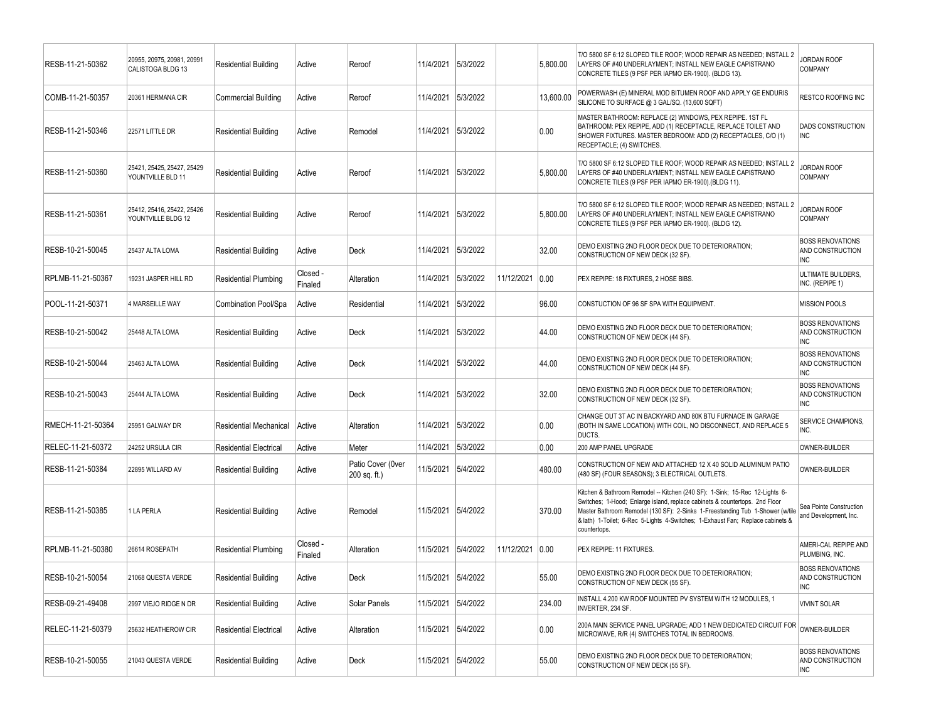| RESB-11-21-50362  | 20955, 20975, 20981, 20991<br>CALISTOGA BLDG 13  | Residential Building          | Active              | Reroof                            | 11/4/2021          | 5/3/2022 |            | 5.800.00  | T/O 5800 SF 6:12 SLOPED TILE ROOF; WOOD REPAIR AS NEEDED; INSTALL 2<br>LAYERS OF #40 UNDERLAYMENT; INSTALL NEW EAGLE CAPISTRANO<br>CONCRETE TILES (9 PSF PER IAPMO ER-1900). (BLDG 13).                                                                                                                                                       | <b>IORDAN ROOF</b><br><b>COMPANY</b>                      |
|-------------------|--------------------------------------------------|-------------------------------|---------------------|-----------------------------------|--------------------|----------|------------|-----------|-----------------------------------------------------------------------------------------------------------------------------------------------------------------------------------------------------------------------------------------------------------------------------------------------------------------------------------------------|-----------------------------------------------------------|
| COMB-11-21-50357  | 20361 HERMANA CIR                                | <b>Commercial Building</b>    | Active              | Reroof                            | 11/4/2021          | 5/3/2022 |            | 13,600.00 | POWERWASH (E) MINERAL MOD BITUMEN ROOF AND APPLY GE ENDURIS<br>SILICONE TO SURFACE @ 3 GAL/SQ. (13,600 SQFT)                                                                                                                                                                                                                                  | RESTCO ROOFING INC                                        |
| RESB-11-21-50346  | 22571 LITTLE DR                                  | <b>Residential Building</b>   | Active              | Remodel                           | 11/4/2021          | 5/3/2022 |            | 0.00      | MASTER BATHROOM: REPLACE (2) WINDOWS, PEX REPIPE. 1ST FL<br>BATHROOM: PEX REPIPE, ADD (1) RECEPTACLE, REPLACE TOILET AND<br>SHOWER FIXTURES. MASTER BEDROOM: ADD (2) RECEPTACLES, C/O (1)<br>RECEPTACLE; (4) SWITCHES.                                                                                                                        | <b>DADS CONSTRUCTION</b><br><b>INC</b>                    |
| RESB-11-21-50360  | 25421, 25425, 25427, 25429<br>YOUNTVILLE BLD 11  | <b>Residential Building</b>   | Active              | Reroof                            | 11/4/2021          | 5/3/2022 |            | 5,800.00  | T/O 5800 SF 6:12 SLOPED TILE ROOF; WOOD REPAIR AS NEEDED; INSTALL 2<br>LAYERS OF #40 UNDERLAYMENT; INSTALL NEW EAGLE CAPISTRANO<br>CONCRETE TILES (9 PSF PER IAPMO ER-1900).(BLDG 11).                                                                                                                                                        | ORDAN ROOF<br><b>COMPANY</b>                              |
| RESB-11-21-50361  | 25412, 25416, 25422, 25426<br>YOUNTVILLE BLDG 12 | <b>Residential Building</b>   | Active              | Reroof                            | 11/4/2021 5/3/2022 |          |            | 5,800.00  | T/O 5800 SF 6:12 SLOPED TILE ROOF; WOOD REPAIR AS NEEDED; INSTALL 2<br>LAYERS OF #40 UNDERLAYMENT; INSTALL NEW EAGLE CAPISTRANO<br>CONCRETE TILES (9 PSF PER IAPMO ER-1900). (BLDG 12).                                                                                                                                                       | <b>IORDAN ROOF</b><br>COMPANY                             |
| RESB-10-21-50045  | 25437 ALTA LOMA                                  | <b>Residential Building</b>   | Active              | Deck                              | 11/4/2021 5/3/2022 |          |            | 32.00     | DEMO EXISTING 2ND FLOOR DECK DUE TO DETERIORATION;<br>CONSTRUCTION OF NEW DECK (32 SF).                                                                                                                                                                                                                                                       | <b>BOSS RENOVATIONS</b><br>AND CONSTRUCTION<br><b>INC</b> |
| RPLMB-11-21-50367 | 19231 JASPER HILL RD                             | <b>Residential Plumbing</b>   | Closed -<br>Finaled | Alteration                        | 11/4/2021          | 5/3/2022 | 11/12/2021 | 0.00      | PEX REPIPE: 18 FIXTURES, 2 HOSE BIBS.                                                                                                                                                                                                                                                                                                         | ULTIMATE BUILDERS,<br>INC. (REPIPE 1)                     |
| POOL-11-21-50371  | <b>4 MARSEILLE WAY</b>                           | Combination Pool/Spa          | Active              | Residential                       | 11/4/2021          | 5/3/2022 |            | 96.00     | CONSTUCTION OF 96 SF SPA WITH EQUIPMENT.                                                                                                                                                                                                                                                                                                      | MISSION POOLS                                             |
| RESB-10-21-50042  | 25448 ALTA LOMA                                  | <b>Residential Building</b>   | Active              | Deck                              | 11/4/2021          | 5/3/2022 |            | 44.00     | DEMO EXISTING 2ND FLOOR DECK DUE TO DETERIORATION;<br>CONSTRUCTION OF NEW DECK (44 SF).                                                                                                                                                                                                                                                       | <b>BOSS RENOVATIONS</b><br>AND CONSTRUCTION<br><b>INC</b> |
| RESB-10-21-50044  | 25463 ALTA LOMA                                  | <b>Residential Building</b>   | Active              | Deck                              | 11/4/2021          | 5/3/2022 |            | 44.00     | DEMO EXISTING 2ND FLOOR DECK DUE TO DETERIORATION;<br>CONSTRUCTION OF NEW DECK (44 SF).                                                                                                                                                                                                                                                       | <b>BOSS RENOVATIONS</b><br>AND CONSTRUCTION<br><b>INC</b> |
| RESB-10-21-50043  | 25444 ALTA LOMA                                  | <b>Residential Building</b>   | Active              | Deck                              | 11/4/2021          | 5/3/2022 |            | 32.00     | DEMO EXISTING 2ND FLOOR DECK DUE TO DETERIORATION;<br>CONSTRUCTION OF NEW DECK (32 SF).                                                                                                                                                                                                                                                       | <b>BOSS RENOVATIONS</b><br>AND CONSTRUCTION<br>INC        |
| RMECH-11-21-50364 | 25951 GALWAY DR                                  | <b>Residential Mechanical</b> | Active              | Alteration                        | 11/4/2021          | 5/3/2022 |            | 0.00      | CHANGE OUT 3T AC IN BACKYARD AND 80K BTU FURNACE IN GARAGE<br>(BOTH IN SAME LOCATION) WITH COIL, NO DISCONNECT, AND REPLACE 5<br>DUCTS.                                                                                                                                                                                                       | SERVICE CHAMPIONS,<br>INC.                                |
| RELEC-11-21-50372 | 24252 URSULA CIR                                 | <b>Residential Electrical</b> | Active              | Meter                             | 11/4/2021          | 5/3/2022 |            | 0.00      | 200 AMP PANEL UPGRADE                                                                                                                                                                                                                                                                                                                         | OWNER-BUILDER                                             |
| RESB-11-21-50384  | 22895 WILLARD AV                                 | <b>Residential Building</b>   | Active              | Patio Cover (0ver<br>200 sq. ft.) | 11/5/2021          | 5/4/2022 |            | 480.00    | CONSTRUCTION OF NEW AND ATTACHED 12 X 40 SOLID ALUMINUM PATIO<br>(480 SF) (FOUR SEASONS); 3 ELECTRICAL OUTLETS.                                                                                                                                                                                                                               | OWNER-BUILDER                                             |
| RESB-11-21-50385  | 1 LA PERLA                                       | <b>Residential Building</b>   | Active              | Remodel                           | 11/5/2021 5/4/2022 |          |            | 370.00    | Kitchen & Bathroom Remodel -- Kitchen (240 SF): 1-Sink; 15-Rec 12-Lights 6-<br>Switches; 1-Hood; Enlarge island, replace cabinets & countertops. 2nd Floor<br>Master Bathroom Remodel (130 SF): 2-Sinks 1-Freestanding Tub 1-Shower (w/tile<br>& lath) 1-Toilet; 6-Rec 5-Lights 4-Switches; 1-Exhaust Fan; Replace cabinets &<br>countertops. | Sea Pointe Construction<br>and Development, Inc.          |
| RPLMB-11-21-50380 | 26614 ROSEPATH                                   | <b>Residential Plumbing</b>   | Closed -<br>Finaled | Alteration                        | 11/5/2021          | 5/4/2022 | 11/12/2021 | 0.00      | PEX REPIPE: 11 FIXTURES.                                                                                                                                                                                                                                                                                                                      | AMERI-CAL REPIPE AND<br>PLUMBING, INC.                    |
| RESB-10-21-50054  | 21068 QUESTA VERDE                               | <b>Residential Building</b>   | Active              | Deck                              | 11/5/2021 5/4/2022 |          |            | 55.00     | DEMO EXISTING 2ND FLOOR DECK DUE TO DETERIORATION:<br>CONSTRUCTION OF NEW DECK (55 SF).                                                                                                                                                                                                                                                       | <b>BOSS RENOVATIONS</b><br>AND CONSTRUCTION<br><b>INC</b> |
| RESB-09-21-49408  | 2997 VIEJO RIDGE N DR                            | <b>Residential Building</b>   | Active              | Solar Panels                      | 11/5/2021 5/4/2022 |          |            | 234.00    | INSTALL 4.200 KW ROOF MOUNTED PV SYSTEM WITH 12 MODULES, 1<br>INVERTER, 234 SF.                                                                                                                                                                                                                                                               | <b>VIVINT SOLAR</b>                                       |
| RELEC-11-21-50379 | 25632 HEATHEROW CIR                              | <b>Residential Electrical</b> | Active              | Alteration                        | 11/5/2021 5/4/2022 |          |            | 0.00      | 200A MAIN SERVICE PANEL UPGRADE; ADD 1 NEW DEDICATED CIRCUIT FOR<br>MICROWAVE, R/R (4) SWITCHES TOTAL IN BEDROOMS.                                                                                                                                                                                                                            | OWNER-BUILDER                                             |
| RESB-10-21-50055  | 21043 QUESTA VERDE                               | <b>Residential Building</b>   | Active              | Deck                              | 11/5/2021 5/4/2022 |          |            | 55.00     | DEMO EXISTING 2ND FLOOR DECK DUE TO DETERIORATION;<br>CONSTRUCTION OF NEW DECK (55 SF).                                                                                                                                                                                                                                                       | <b>BOSS RENOVATIONS</b><br>AND CONSTRUCTION<br><b>INC</b> |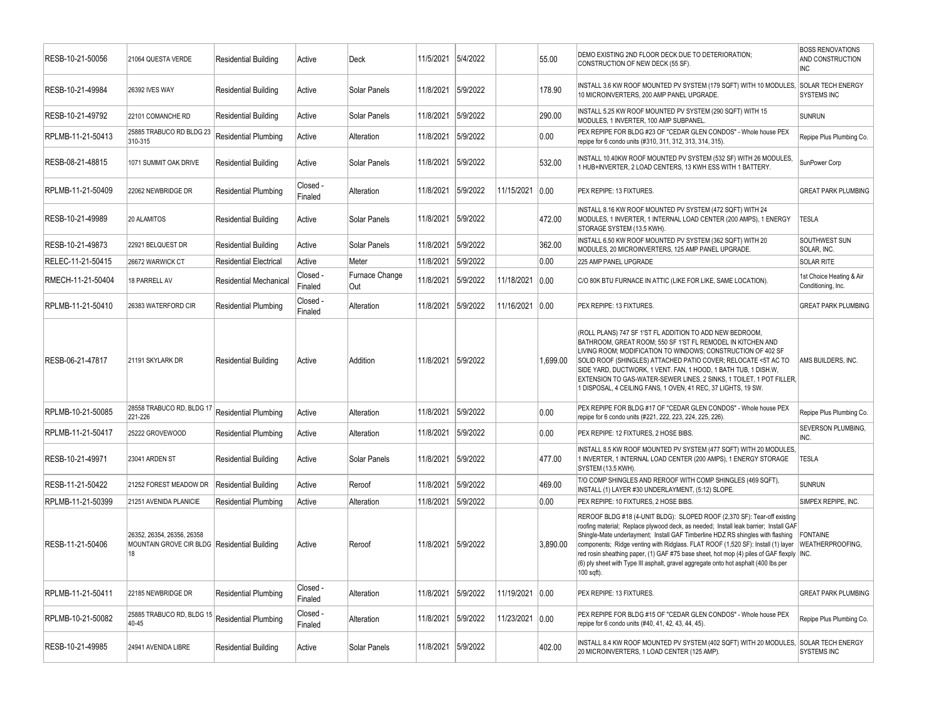| RESB-10-21-50056  | 21064 QUESTA VERDE                                                               | <b>Residential Building</b>   | Active              | Deck                         | 11/5/2021 | 5/4/2022 |            | 55.00    | DEMO EXISTING 2ND FLOOR DECK DUE TO DETERIORATION:<br>CONSTRUCTION OF NEW DECK (55 SF).                                                                                                                                                                                                                                                                                                                                                                                                                                                                    | <b>BOSS RENOVATIONS</b><br>AND CONSTRUCTION<br><b>INC</b> |
|-------------------|----------------------------------------------------------------------------------|-------------------------------|---------------------|------------------------------|-----------|----------|------------|----------|------------------------------------------------------------------------------------------------------------------------------------------------------------------------------------------------------------------------------------------------------------------------------------------------------------------------------------------------------------------------------------------------------------------------------------------------------------------------------------------------------------------------------------------------------------|-----------------------------------------------------------|
| RESB-10-21-49984  | <b>26392 IVES WAY</b>                                                            | <b>Residential Building</b>   | Active              | Solar Panels                 | 11/8/2021 | 5/9/2022 |            | 178.90   | INSTALL 3.6 KW ROOF MOUNTED PV SYSTEM (179 SQFT) WITH 10 MODULES,<br>10 MICROINVERTERS, 200 AMP PANEL UPGRADE.                                                                                                                                                                                                                                                                                                                                                                                                                                             | <b>SOLAR TECH ENERGY</b><br><b>SYSTEMS INC</b>            |
| RESB-10-21-49792  | 22101 COMANCHE RD                                                                | <b>Residential Building</b>   | Active              | Solar Panels                 | 11/8/2021 | 5/9/2022 |            | 290.00   | INSTALL 5.25 KW ROOF MOUNTED PV SYSTEM (290 SQFT) WITH 15<br>MODULES, 1 INVERTER, 100 AMP SUBPANEL                                                                                                                                                                                                                                                                                                                                                                                                                                                         | <b>SUNRUN</b>                                             |
| RPLMB-11-21-50413 | 25885 TRABUCO RD BLDG 23<br>310-315                                              | Residential Plumbing          | Active              | Alteration                   | 11/8/2021 | 5/9/2022 |            | 0.00     | PEX REPIPE FOR BLDG #23 OF "CEDAR GLEN CONDOS" - Whole house PEX<br>repipe for 6 condo units (#310, 311, 312, 313, 314, 315).                                                                                                                                                                                                                                                                                                                                                                                                                              | Repipe Plus Plumbing Co.                                  |
| RESB-08-21-48815  | 1071 SUMMIT OAK DRIVE                                                            | <b>Residential Building</b>   | Active              | Solar Panels                 | 11/8/2021 | 5/9/2022 |            | 532.00   | INSTALL 10.40KW ROOF MOUNTED PV SYSTEM (532 SF) WITH 26 MODULES,<br>1 HUB+INVERTER, 2 LOAD CENTERS, 13 KWH ESS WITH 1 BATTERY.                                                                                                                                                                                                                                                                                                                                                                                                                             | SunPower Corp                                             |
| RPLMB-11-21-50409 | 22062 NEWBRIDGE DR                                                               | Residential Plumbing          | Closed -<br>Finaled | Alteration                   | 11/8/2021 | 5/9/2022 | 11/15/2021 | 0.00     | PEX REPIPE: 13 FIXTURES.                                                                                                                                                                                                                                                                                                                                                                                                                                                                                                                                   | <b>GREAT PARK PLUMBING</b>                                |
| RESB-10-21-49989  | 20 ALAMITOS                                                                      | <b>Residential Building</b>   | Active              | Solar Panels                 | 11/8/2021 | 5/9/2022 |            | 472.00   | INSTALL 8.16 KW ROOF MOUNTED PV SYSTEM (472 SQFT) WITH 24<br>MODULES, 1 INVERTER, 1 INTERNAL LOAD CENTER (200 AMPS), 1 ENERGY<br>STORAGE SYSTEM (13.5 KWH).                                                                                                                                                                                                                                                                                                                                                                                                | <b>TESLA</b>                                              |
| RESB-10-21-49873  | 22921 BELQUEST DR                                                                | Residential Building          | Active              | Solar Panels                 | 11/8/2021 | 5/9/2022 |            | 362.00   | INSTALL 6.50 KW ROOF MOUNTED PV SYSTEM (362 SQFT) WITH 20<br>MODULES, 20 MICROINVERTERS, 125 AMP PANEL UPGRADE.                                                                                                                                                                                                                                                                                                                                                                                                                                            | SOUTHWEST SUN<br>SOLAR, INC.                              |
| RELEC-11-21-50415 | 26672 WARWICK CT                                                                 | <b>Residential Electrical</b> | Active              | Meter                        | 11/8/2021 | 5/9/2022 |            | 0.00     | 225 AMP PANEL UPGRADE                                                                                                                                                                                                                                                                                                                                                                                                                                                                                                                                      | <b>SOLAR RITE</b>                                         |
| RMECH-11-21-50404 | 18 PARRELL AV                                                                    | <b>Residential Mechanical</b> | Closed -<br>Finaled | Furnace Change<br><b>Out</b> | 11/8/2021 | 5/9/2022 | 11/18/2021 | 0.00     | C/O 80K BTU FURNACE IN ATTIC (LIKE FOR LIKE, SAME LOCATION).                                                                                                                                                                                                                                                                                                                                                                                                                                                                                               | 1st Choice Heating & Air<br>Conditioning, Inc.            |
| RPLMB-11-21-50410 | 26383 WATERFORD CIR                                                              | <b>Residential Plumbing</b>   | Closed -<br>Finaled | Alteration                   | 11/8/2021 | 5/9/2022 | 11/16/2021 | 0.00     | PEX REPIPE: 13 FIXTURES.                                                                                                                                                                                                                                                                                                                                                                                                                                                                                                                                   | <b>GREAT PARK PLUMBING</b>                                |
| RESB-06-21-47817  | 21191 SKYLARK DR                                                                 | <b>Residential Building</b>   | Active              | Addition                     | 11/8/2021 | 5/9/2022 |            | 1,699.00 | (ROLL PLANS) 747 SF 1'ST FL ADDITION TO ADD NEW BEDROOM,<br>BATHROOM, GREAT ROOM; 550 SF 1'ST FL REMODEL IN KITCHEN AND<br>LIVING ROOM; MODIFICATION TO WINDOWS; CONSTRUCTION OF 402 SF<br>SOLID ROOF (SHINGLES) ATTACHED PATIO COVER; RELOCATE <5T AC TO<br>SIDE YARD, DUCTWORK, 1 VENT. FAN, 1 HOOD, 1 BATH TUB, 1 DISH.W,<br>EXTENSION TO GAS-WATER-SEWER LINES, 2 SINKS, 1 TOILET, 1 POT FILLER,<br>1 DISPOSAL, 4 CEILING FANS, 1 OVEN, 41 REC, 37 LIGHTS, 19 SW.                                                                                      | AMS BUILDERS. INC.                                        |
| RPLMB-10-21-50085 | 28558 TRABUCO RD, BLDG 17<br>221-226                                             | <b>Residential Plumbing</b>   | Active              | Alteration                   | 11/8/2021 | 5/9/2022 |            | 0.00     | PEX REPIPE FOR BLDG #17 OF "CEDAR GLEN CONDOS" - Whole house PEX<br>repipe for 6 condo units (#221, 222, 223, 224, 225, 226).                                                                                                                                                                                                                                                                                                                                                                                                                              | Repipe Plus Plumbing Co.                                  |
| RPLMB-11-21-50417 | 25222 GROVEWOOD                                                                  | Residential Plumbing          | Active              | Alteration                   | 11/8/2021 | 5/9/2022 |            | 0.00     | PEX REPIPE: 12 FIXTURES, 2 HOSE BIBS.                                                                                                                                                                                                                                                                                                                                                                                                                                                                                                                      | SEVERSON PLUMBING,<br>INC.                                |
| RESB-10-21-49971  | 23041 ARDEN ST                                                                   | <b>Residential Building</b>   | Active              | Solar Panels                 | 11/8/2021 | 5/9/2022 |            | 477.00   | INSTALL 8.5 KW ROOF MOUNTED PV SYSTEM (477 SQFT) WITH 20 MODULES,<br>1 INVERTER, 1 INTERNAL LOAD CENTER (200 AMPS), 1 ENERGY STORAGE<br>SYSTEM (13.5 KWH).                                                                                                                                                                                                                                                                                                                                                                                                 | <b>TESLA</b>                                              |
| RESB-11-21-50422  | 21252 FOREST MEADOW DR                                                           | <b>Residential Building</b>   | Active              | Reroof                       | 11/8/2021 | 5/9/2022 |            | 469.00   | T/O COMP SHINGLES AND REROOF WITH COMP SHINGLES (469 SQFT),<br>INSTALL (1) LAYER #30 UNDERLAYMENT, (5:12) SLOPE.                                                                                                                                                                                                                                                                                                                                                                                                                                           | <b>SUNRUN</b>                                             |
| RPLMB-11-21-50399 | 21251 AVENIDA PLANICIE                                                           | <b>Residential Plumbing</b>   | Active              | Alteration                   | 11/8/2021 | 5/9/2022 |            | 0.00     | PEX REPIPE: 10 FIXTURES, 2 HOSE BIBS.                                                                                                                                                                                                                                                                                                                                                                                                                                                                                                                      | SIMPEX REPIPE, INC.                                       |
| RESB-11-21-50406  | 26352. 26354. 26356. 26358<br>MOUNTAIN GROVE CIR BLDG Residential Building<br>18 |                               | Active              | Reroof                       | 11/8/2021 | 5/9/2022 |            | 3.890.00 | REROOF BLDG #18 (4-UNIT BLDG): SLOPED ROOF (2,370 SF): Tear-off existing<br>roofing material; Replace plywood deck, as needed; Install leak barrier; Install GAF<br>Shingle-Mate underlayment; Install GAF Timberline HDZ RS shingles with flashing<br>components; Ridge venting with Ridglass. FLAT ROOF (1,520 SF): Install (1) layer WEATHERPROOFING,<br>red rosin sheathing paper, (1) GAF #75 base sheet, hot mop (4) piles of GAF flexply  INC.<br>(6) ply sheet with Type III asphalt, gravel aggregate onto hot asphalt (400 lbs per<br>100 sqft). | <b>FONTAINE</b>                                           |
| RPLMB-11-21-50411 | 22185 NEWBRIDGE DR                                                               | <b>Residential Plumbing</b>   | Closed -<br>Finaled | Alteration                   | 11/8/2021 | 5/9/2022 | 11/19/2021 | 0.00     | PEX REPIPE: 13 FIXTURES.                                                                                                                                                                                                                                                                                                                                                                                                                                                                                                                                   | <b>GREAT PARK PLUMBING</b>                                |
| RPLMB-10-21-50082 | 25885 TRABUCO RD, BLDG 15<br>40-45                                               | <b>Residential Plumbing</b>   | Closed -<br>Finaled | Alteration                   | 11/8/2021 | 5/9/2022 | 11/23/2021 | 0.00     | PEX REPIPE FOR BLDG #15 OF "CEDAR GLEN CONDOS" - Whole house PEX<br>repipe for 6 condo units (#40, 41, 42, 43, 44, 45).                                                                                                                                                                                                                                                                                                                                                                                                                                    | Repipe Plus Plumbing Co.                                  |
| RESB-10-21-49985  | 24941 AVENIDA LIBRE                                                              | Residential Building          | Active              | Solar Panels                 | 11/8/2021 | 5/9/2022 |            | 402.00   | INSTALL 8.4 KW ROOF MOUNTED PV SYSTEM (402 SQFT) WITH 20 MODULES,<br>20 MICROINVERTERS, 1 LOAD CENTER (125 AMP).                                                                                                                                                                                                                                                                                                                                                                                                                                           | <b>SOLAR TECH ENERGY</b><br><b>SYSTEMS INC</b>            |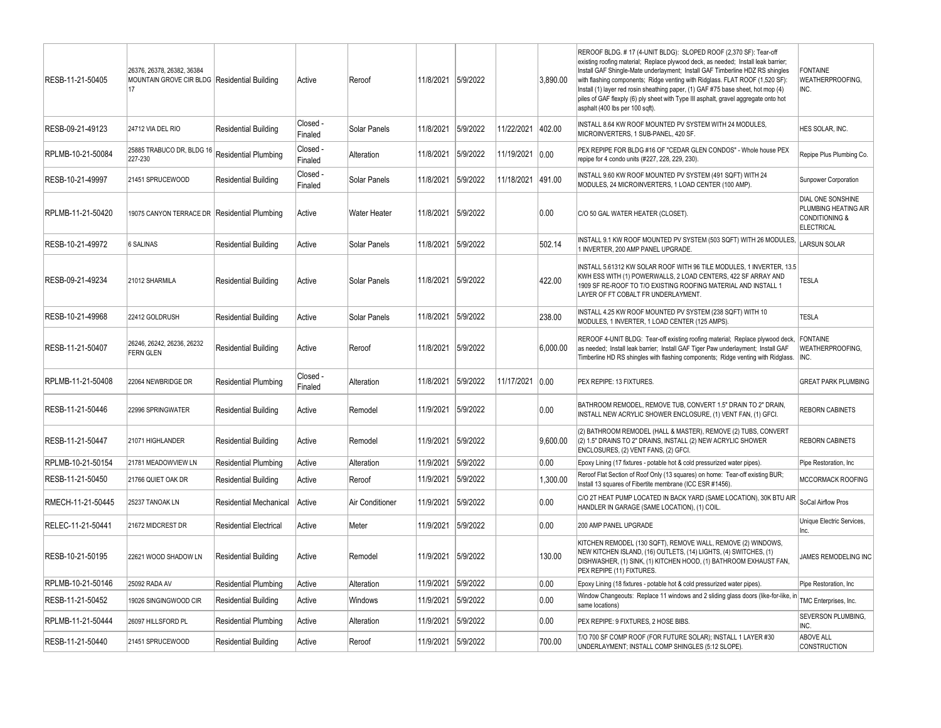| RESB-11-21-50405  | 26376, 26378, 26382, 36384<br>MOUNTAIN GROVE CIR BLDG Residential Building<br>17 |                               | Active              | Reroof              | 11/8/2021 5/9/2022 |          |            | 3.890.00 | REROOF BLDG. # 17 (4-UNIT BLDG): SLOPED ROOF (2,370 SF): Tear-off<br>existing roofing material; Replace plywood deck, as needed; Install leak barrier;<br>Install GAF Shingle-Mate underlayment; Install GAF Timberline HDZ RS shingles<br>with flashing components; Ridge venting with Ridglass. FLAT ROOF (1,520 SF):<br>Install (1) layer red rosin sheathing paper, (1) GAF #75 base sheet, hot mop (4)<br>piles of GAF flexply (6) ply sheet with Type III asphalt, gravel aggregate onto hot<br>asphalt (400 lbs per 100 sqft). | <b>FONTAINE</b><br>WEATHERPROOFING,<br>INC.                                                 |
|-------------------|----------------------------------------------------------------------------------|-------------------------------|---------------------|---------------------|--------------------|----------|------------|----------|---------------------------------------------------------------------------------------------------------------------------------------------------------------------------------------------------------------------------------------------------------------------------------------------------------------------------------------------------------------------------------------------------------------------------------------------------------------------------------------------------------------------------------------|---------------------------------------------------------------------------------------------|
| RESB-09-21-49123  | 24712 VIA DEL RIO                                                                | <b>Residential Building</b>   | Closed -<br>Finaled | Solar Panels        | 11/8/2021          | 5/9/2022 | 11/22/2021 | 402.00   | INSTALL 8.64 KW ROOF MOUNTED PV SYSTEM WITH 24 MODULES,<br>MICROINVERTERS, 1 SUB-PANEL, 420 SF.                                                                                                                                                                                                                                                                                                                                                                                                                                       | HES SOLAR, INC.                                                                             |
| RPLMB-10-21-50084 | 25885 TRABUCO DR, BLDG 16 Residential Plumbing<br>227-230                        |                               | Closed -<br>Finaled | Alteration          | 11/8/2021          | 5/9/2022 | 11/19/2021 | 0.00     | PEX REPIPE FOR BLDG #16 OF "CEDAR GLEN CONDOS" - Whole house PEX<br>repipe for 4 condo units (#227, 228, 229, 230).                                                                                                                                                                                                                                                                                                                                                                                                                   | Repipe Plus Plumbing Co.                                                                    |
| RESB-10-21-49997  | 21451 SPRUCEWOOD                                                                 | <b>Residential Building</b>   | Closed -<br>Finaled | Solar Panels        | 11/8/2021          | 5/9/2022 | 11/18/2021 | 491.00   | INSTALL 9.60 KW ROOF MOUNTED PV SYSTEM (491 SQFT) WITH 24<br>MODULES, 24 MICROINVERTERS, 1 LOAD CENTER (100 AMP).                                                                                                                                                                                                                                                                                                                                                                                                                     | Sunpower Corporation                                                                        |
| RPLMB-11-21-50420 | 19075 CANYON TERRACE DR   Residential Plumbing                                   |                               | Active              | <b>Water Heater</b> | 11/8/2021          | 5/9/2022 |            | 0.00     | C/O 50 GAL WATER HEATER (CLOSET).                                                                                                                                                                                                                                                                                                                                                                                                                                                                                                     | DIAL ONE SONSHINE<br>PLUMBING HEATING AIR<br><b>CONDITIONING &amp;</b><br><b>ELECTRICAL</b> |
| RESB-10-21-49972  | <b>6 SALINAS</b>                                                                 | <b>Residential Building</b>   | Active              | Solar Panels        | 11/8/2021          | 5/9/2022 |            | 502.14   | INSTALL 9.1 KW ROOF MOUNTED PV SYSTEM (503 SQFT) WITH 26 MODULES,<br>1 INVERTER, 200 AMP PANEL UPGRADE.                                                                                                                                                                                                                                                                                                                                                                                                                               | <b>LARSUN SOLAR</b>                                                                         |
| RESB-09-21-49234  | 21012 SHARMILA                                                                   | <b>Residential Building</b>   | Active              | Solar Panels        | 11/8/2021          | 5/9/2022 |            | 422.00   | INSTALL 5.61312 KW SOLAR ROOF WITH 96 TILE MODULES, 1 INVERTER, 13.5<br>KWH ESS WITH (1) POWERWALLS, 2 LOAD CENTERS, 422 SF ARRAY AND<br>1909 SF RE-ROOF TO T/O EXISTING ROOFING MATERIAL AND INSTALL 1<br>LAYER OF FT COBALT FR UNDERLAYMENT.                                                                                                                                                                                                                                                                                        | <b>TESLA</b>                                                                                |
| RESB-10-21-49968  | 22412 GOLDRUSH                                                                   | <b>Residential Building</b>   | Active              | <b>Solar Panels</b> | 11/8/2021          | 5/9/2022 |            | 238.00   | INSTALL 4.25 KW ROOF MOUNTED PV SYSTEM (238 SQFT) WITH 10<br>MODULES, 1 INVERTER, 1 LOAD CENTER (125 AMPS)                                                                                                                                                                                                                                                                                                                                                                                                                            | <b>TESLA</b>                                                                                |
| RESB-11-21-50407  | 26246, 26242, 26236, 26232<br><b>FERN GLEN</b>                                   | <b>Residential Building</b>   | Active              | Reroof              | 11/8/2021          | 5/9/2022 |            | 6,000.00 | REROOF 4-UNIT BLDG: Tear-off existing roofing material; Replace plywood deck,<br>as needed; Install leak barrier; Install GAF Tiger Paw underlayment; Install GAF<br>Timberline HD RS shingles with flashing components; Ridge venting with Ridglass.                                                                                                                                                                                                                                                                                 | <b>FONTAINE</b><br>WEATHERPROOFING,<br>INC.                                                 |
| RPLMB-11-21-50408 | 22064 NEWBRIDGE DR                                                               | <b>Residential Plumbing</b>   | Closed -<br>Finaled | Alteration          | 11/8/2021          | 5/9/2022 | 11/17/2021 | 0.00     | PEX REPIPE: 13 FIXTURES.                                                                                                                                                                                                                                                                                                                                                                                                                                                                                                              | <b>GREAT PARK PLUMBING</b>                                                                  |
| RESB-11-21-50446  | 22996 SPRINGWATER                                                                | <b>Residential Building</b>   | Active              | Remodel             | 11/9/2021          | 5/9/2022 |            | 0.00     | BATHROOM REMODEL, REMOVE TUB, CONVERT 1.5" DRAIN TO 2" DRAIN,<br>INSTALL NEW ACRYLIC SHOWER ENCLOSURE, (1) VENT FAN, (1) GFCI.                                                                                                                                                                                                                                                                                                                                                                                                        | <b>REBORN CABINETS</b>                                                                      |
| RESB-11-21-50447  | 21071 HIGHLANDER                                                                 | <b>Residential Building</b>   | Active              | Remodel             | 11/9/2021          | 5/9/2022 |            | 9,600.00 | (2) BATHROOM REMODEL (HALL & MASTER), REMOVE (2) TUBS, CONVERT<br>(2) 1.5" DRAINS TO 2" DRAINS, INSTALL (2) NEW ACRYLIC SHOWER<br>ENCLOSURES, (2) VENT FANS, (2) GFCI.                                                                                                                                                                                                                                                                                                                                                                | <b>REBORN CABINETS</b>                                                                      |
| RPLMB-10-21-50154 | 21781 MEADOWVIEW LN                                                              | <b>Residential Plumbing</b>   | Active              | Alteration          | 11/9/2021          | 5/9/2022 |            | 0.00     | Epoxy Lining (17 fixtures - potable hot & cold pressurized water pipes).                                                                                                                                                                                                                                                                                                                                                                                                                                                              | Pipe Restoration, Inc.                                                                      |
| RESB-11-21-50450  | 21766 QUIET OAK DR                                                               | <b>Residential Building</b>   | Active              | Reroof              | 11/9/2021          | 5/9/2022 |            | 1.300.00 | Reroof Flat Section of Roof Only (13 squares) on home: Tear-off existing BUR;<br>Install 13 squares of Fibertite membrane (ICC ESR #1456).                                                                                                                                                                                                                                                                                                                                                                                            | MCCORMACK ROOFING                                                                           |
| RMECH-11-21-50445 | 25237 TANOAK LN                                                                  | <b>Residential Mechanical</b> | Active              | Air Conditioner     | 11/9/2021          | 5/9/2022 |            | 0.00     | C/O 2T HEAT PUMP LOCATED IN BACK YARD (SAME LOCATION), 30K BTU AIR<br>HANDLER IN GARAGE (SAME LOCATION), (1) COIL                                                                                                                                                                                                                                                                                                                                                                                                                     | SoCal Airflow Pros                                                                          |
| RELEC-11-21-50441 | 21672 MIDCREST DR                                                                | <b>Residential Electrical</b> | Active              | Meter               | 11/9/2021          | 5/9/2022 |            | 0.00     | 200 AMP PANEL UPGRADE                                                                                                                                                                                                                                                                                                                                                                                                                                                                                                                 | Unique Electric Services,<br>Inc.                                                           |
| RESB-10-21-50195  | 22621 WOOD SHADOW LN                                                             | <b>Residential Building</b>   | Active              | Remodel             | 11/9/2021          | 5/9/2022 |            | 130.00   | KITCHEN REMODEL (130 SQFT), REMOVE WALL, REMOVE (2) WINDOWS,<br>NEW KITCHEN ISLAND, (16) OUTLETS, (14) LIGHTS, (4) SWITCHES, (1)<br>DISHWASHER, (1) SINK, (1) KITCHEN HOOD, (1) BATHROOM EXHAUST FAN,<br>PEX REPIPE (11) FIXTURES.                                                                                                                                                                                                                                                                                                    | JAMES REMODELING INC                                                                        |
| RPLMB-10-21-50146 | 25092 RADA AV                                                                    | <b>Residential Plumbing</b>   | Active              | Alteration          | 11/9/2021          | 5/9/2022 |            | 0.00     | Epoxy Lining (18 fixtures - potable hot & cold pressurized water pipes).                                                                                                                                                                                                                                                                                                                                                                                                                                                              | Pipe Restoration, Inc.                                                                      |
| RESB-11-21-50452  | 19026 SINGINGWOOD CIR                                                            | <b>Residential Building</b>   | Active              | Windows             | 11/9/2021          | 5/9/2022 |            | 0.00     | Window Changeouts: Replace 11 windows and 2 sliding glass doors (like-for-like, in<br>same locations)                                                                                                                                                                                                                                                                                                                                                                                                                                 | TMC Enterprises, Inc.                                                                       |
| RPLMB-11-21-50444 | 26097 HILLSFORD PL                                                               | <b>Residential Plumbing</b>   | Active              | Alteration          | 11/9/2021          | 5/9/2022 |            | 0.00     | PEX REPIPE: 9 FIXTURES, 2 HOSE BIBS.                                                                                                                                                                                                                                                                                                                                                                                                                                                                                                  | SEVERSON PLUMBING,<br>INC.                                                                  |
| RESB-11-21-50440  | 21451 SPRUCEWOOD                                                                 | <b>Residential Building</b>   | Active              | Reroof              | 11/9/2021          | 5/9/2022 |            | 700.00   | T/O 700 SF COMP ROOF (FOR FUTURE SOLAR); INSTALL 1 LAYER #30<br>UNDERLAYMENT; INSTALL COMP SHINGLES (5:12 SLOPE).                                                                                                                                                                                                                                                                                                                                                                                                                     | <b>ABOVE ALL</b><br><b>CONSTRUCTION</b>                                                     |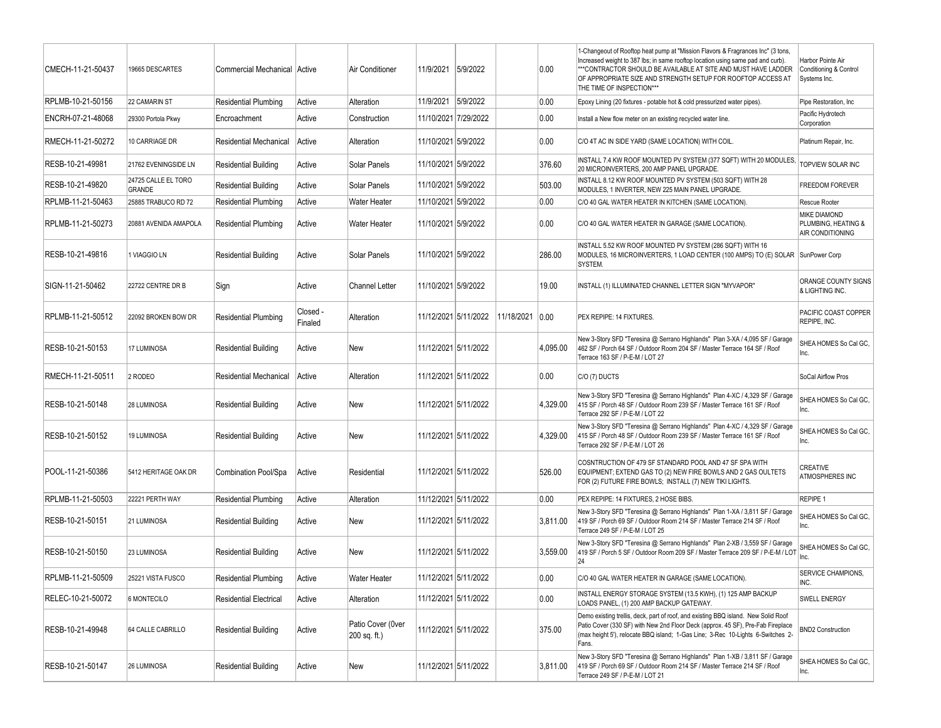| CMECH-11-21-50437 | 19665 DESCARTES               | Commercial Mechanical Active  |                     | Air Conditioner                   | 11/9/2021 5/9/2022   |                      |            | 0.00     | 1-Changeout of Rooftop heat pump at "Mission Flavors & Fragrances Inc" (3 tons,<br>Increased weight to 387 lbs; in same rooftop location using same pad and curb).<br>*** CONTRACTOR SHOULD BE AVAILABLE AT SITE AND MUST HAVE LADDER<br>OF APPROPRIATE SIZE AND STRENGTH SETUP FOR ROOFTOP ACCESS AT<br>THE TIME OF INSPECTION*** | Harbor Pointe Air<br>Conditioning & Control<br>Systems Inc.    |
|-------------------|-------------------------------|-------------------------------|---------------------|-----------------------------------|----------------------|----------------------|------------|----------|------------------------------------------------------------------------------------------------------------------------------------------------------------------------------------------------------------------------------------------------------------------------------------------------------------------------------------|----------------------------------------------------------------|
| RPLMB-10-21-50156 | 22 CAMARIN ST                 | <b>Residential Plumbing</b>   | Active              | Alteration                        | 11/9/2021 5/9/2022   |                      |            | 0.00     | Epoxy Lining (20 fixtures - potable hot & cold pressurized water pipes).                                                                                                                                                                                                                                                           | Pipe Restoration, Inc.                                         |
| ENCRH-07-21-48068 | 29300 Portola Pkwy            | Encroachment                  | Active              | Construction                      | 11/10/2021 7/29/2022 |                      |            | 0.00     | Install a New flow meter on an existing recycled water line.                                                                                                                                                                                                                                                                       | Pacific Hydrotech<br>Corporation                               |
| RMECH-11-21-50272 | 10 CARRIAGE DR                | <b>Residential Mechanical</b> | Active              | Alteration                        | 11/10/2021 5/9/2022  |                      |            | 0.00     | C/O 4T AC IN SIDE YARD (SAME LOCATION) WITH COIL.                                                                                                                                                                                                                                                                                  | Platinum Repair, Inc.                                          |
| RESB-10-21-49981  | 21762 EVENINGSIDE LN          | <b>Residential Building</b>   | Active              | Solar Panels                      | 11/10/2021 5/9/2022  |                      |            | 376.60   | INSTALL 7.4 KW ROOF MOUNTED PV SYSTEM (377 SQFT) WITH 20 MODULES,<br>20 MICROINVERTERS, 200 AMP PANEL UPGRADE.                                                                                                                                                                                                                     | TOPVIEW SOLAR INC                                              |
| RESB-10-21-49820  | 24725 CALLE EL TORO<br>GRANDE | <b>Residential Building</b>   | Active              | Solar Panels                      | 11/10/2021 5/9/2022  |                      |            | 503.00   | INSTALL 8.12 KW ROOF MOUNTED PV SYSTEM (503 SQFT) WITH 28<br>MODULES, 1 INVERTER, NEW 225 MAIN PANEL UPGRADE.                                                                                                                                                                                                                      | <b>FREEDOM FOREVER</b>                                         |
| RPLMB-11-21-50463 | 25885 TRABUCO RD 72           | <b>Residential Plumbing</b>   | Active              | <b>Water Heater</b>               | 11/10/2021 5/9/2022  |                      |            | 0.00     | C/O 40 GAL WATER HEATER IN KITCHEN (SAME LOCATION).                                                                                                                                                                                                                                                                                | Rescue Rooter                                                  |
| RPLMB-11-21-50273 | 20881 AVENIDA AMAPOLA         | <b>Residential Plumbing</b>   | Active              | <b>Water Heater</b>               | 11/10/2021 5/9/2022  |                      |            | 0.00     | C/O 40 GAL WATER HEATER IN GARAGE (SAME LOCATION).                                                                                                                                                                                                                                                                                 | MIKE DIAMOND<br>PLUMBING, HEATING &<br><b>AIR CONDITIONING</b> |
| RESB-10-21-49816  | 1 VIAGGIO LN                  | <b>Residential Building</b>   | Active              | Solar Panels                      | 11/10/2021 5/9/2022  |                      |            | 286.00   | INSTALL 5.52 KW ROOF MOUNTED PV SYSTEM (286 SQFT) WITH 16<br>MODULES, 16 MICROINVERTERS, 1 LOAD CENTER (100 AMPS) TO (E) SOLAR SunPower Corp<br>SYSTEM.                                                                                                                                                                            |                                                                |
| SIGN-11-21-50462  | 22722 CENTRE DR B             | Sign                          | Active              | <b>Channel Letter</b>             | 11/10/2021 5/9/2022  |                      |            | 19.00    | INSTALL (1) ILLUMINATED CHANNEL LETTER SIGN "MYVAPOR"                                                                                                                                                                                                                                                                              | ORANGE COUNTY SIGNS<br>& LIGHTING INC.                         |
| RPLMB-11-21-50512 | 22092 BROKEN BOW DR           | <b>Residential Plumbing</b>   | Closed -<br>Finaled | Alteration                        |                      | 11/12/2021 5/11/2022 | 11/18/2021 | 0.00     | PEX REPIPE: 14 FIXTURES.                                                                                                                                                                                                                                                                                                           | PACIFIC COAST COPPER<br>REPIPE, INC.                           |
| RESB-10-21-50153  | 17 LUMINOSA                   | <b>Residential Building</b>   | Active              | New                               |                      | 11/12/2021 5/11/2022 |            | 4.095.00 | New 3-Story SFD "Teresina @ Serrano Highlands" Plan 3-XA / 4,095 SF / Garage<br>462 SF / Porch 64 SF / Outdoor Room 204 SF / Master Terrace 164 SF / Roof<br>Terrace 163 SF / P-E-M / LOT 27                                                                                                                                       | SHEA HOMES So Cal GC.<br>Inc.                                  |
| RMECH-11-21-50511 | 2 RODEO                       | <b>Residential Mechanical</b> | Active              | Alteration                        |                      | 11/12/2021 5/11/2022 |            | $0.00\,$ | C/O (7) DUCTS                                                                                                                                                                                                                                                                                                                      | SoCal Airflow Pros                                             |
| RESB-10-21-50148  | 28 LUMINOSA                   | <b>Residential Building</b>   | Active              | New                               | 11/12/2021 5/11/2022 |                      |            | 4,329.00 | New 3-Story SFD "Teresina @ Serrano Highlands" Plan 4-XC / 4,329 SF / Garage<br>415 SF / Porch 48 SF / Outdoor Room 239 SF / Master Terrace 161 SF / Roof<br>Terrace 292 SF / P-E-M / LOT 22                                                                                                                                       | SHEA HOMES So Cal GC,<br>Inc.                                  |
| RESB-10-21-50152  | 19 LUMINOSA                   | <b>Residential Building</b>   | Active              | New                               |                      | 11/12/2021 5/11/2022 |            | 4,329.00 | New 3-Story SFD "Teresina @ Serrano Highlands" Plan 4-XC / 4,329 SF / Garage<br>415 SF / Porch 48 SF / Outdoor Room 239 SF / Master Terrace 161 SF / Roof<br>Terrace 292 SF / P-E-M / LOT 26                                                                                                                                       | SHEA HOMES So Cal GC,<br>Inc.                                  |
| POOL-11-21-50386  | 5412 HERITAGE OAK DR          | Combination Pool/Spa          | Active              | Residential                       | 11/12/2021 5/11/2022 |                      |            | 526.00   | COSNTRUCTION OF 479 SF STANDARD POOL AND 47 SF SPA WITH<br>EQUIPMENT; EXTEND GAS TO (2) NEW FIRE BOWLS AND 2 GAS OULTETS<br>FOR (2) FUTURE FIRE BOWLS; INSTALL (7) NEW TIKI LIGHTS.                                                                                                                                                | CREATIVE<br><b>ATMOSPHERES INC</b>                             |
| RPLMB-11-21-50503 | 22221 PERTH WAY               | <b>Residential Plumbing</b>   | Active              | Alteration                        |                      | 11/12/2021 5/11/2022 |            | 0.00     | PEX REPIPE: 14 FIXTURES, 2 HOSE BIBS.                                                                                                                                                                                                                                                                                              | <b>REPIPE 1</b>                                                |
| RESB-10-21-50151  | 21 LUMINOSA                   | <b>Residential Building</b>   | Active              | New                               |                      | 11/12/2021 5/11/2022 |            | 3,811.00 | New 3-Story SFD "Teresina @ Serrano Highlands" Plan 1-XA / 3,811 SF / Garage<br>419 SF / Porch 69 SF / Outdoor Room 214 SF / Master Terrace 214 SF / Roof<br>Terrace 249 SF / P-E-M / LOT 25                                                                                                                                       | SHEA HOMES So Cal GC,<br>Inc.                                  |
| RESB-10-21-50150  | 23 LUMINOSA                   | <b>Residential Building</b>   | Active              | New                               |                      | 11/12/2021 5/11/2022 |            | 3,559.00 | New 3-Story SFD "Teresina @ Serrano Highlands" Plan 2-XB / 3,559 SF / Garage<br>419 SF / Porch 5 SF / Outdoor Room 209 SF / Master Terrace 209 SF / P-E-M / LOT<br> 24                                                                                                                                                             | SHEA HOMES So Cal GC,<br>Inc.                                  |
| RPLMB-11-21-50509 | 25221 VISTA FUSCO             | <b>Residential Plumbing</b>   | Active              | <b>Water Heater</b>               | 11/12/2021 5/11/2022 |                      |            | 0.00     | C/O 40 GAL WATER HEATER IN GARAGE (SAME LOCATION).                                                                                                                                                                                                                                                                                 | <b>SERVICE CHAMPIONS,</b><br>INC.                              |
| RELEC-10-21-50072 | 6 MONTECILO                   | <b>Residential Electrical</b> | Active              | Alteration                        |                      | 11/12/2021 5/11/2022 |            | $0.00\,$ | INSTALL ENERGY STORAGE SYSTEM (13.5 KWH), (1) 125 AMP BACKUP<br>LOADS PANEL, (1) 200 AMP BACKUP GATEWAY.                                                                                                                                                                                                                           | <b>SWELL ENERGY</b>                                            |
| RESB-10-21-49948  | 64 CALLE CABRILLO             | <b>Residential Building</b>   | Active              | Patio Cover (Over<br>200 sq. ft.) |                      | 11/12/2021 5/11/2022 |            | 375.00   | Demo existing trellis, deck, part of roof, and existing BBQ island. New Solid Roof<br>Patio Cover (330 SF) with New 2nd Floor Deck (approx. 45 SF), Pre-Fab Fireplace<br>(max height 5'), relocate BBQ island; 1-Gas Line; 3-Rec 10-Lights 6-Switches 2-<br>Fans.                                                                  | <b>BND2 Construction</b>                                       |
| RESB-10-21-50147  | 26 LUMINOSA                   | <b>Residential Building</b>   | Active              | New                               |                      | 11/12/2021 5/11/2022 |            | 3,811.00 | New 3-Story SFD "Teresina @ Serrano Highlands" Plan 1-XB / 3,811 SF / Garage<br>419 SF / Porch 69 SF / Outdoor Room 214 SF / Master Terrace 214 SF / Roof<br>Terrace 249 SF / P-E-M / LOT 21                                                                                                                                       | SHEA HOMES So Cal GC,<br>Inc.                                  |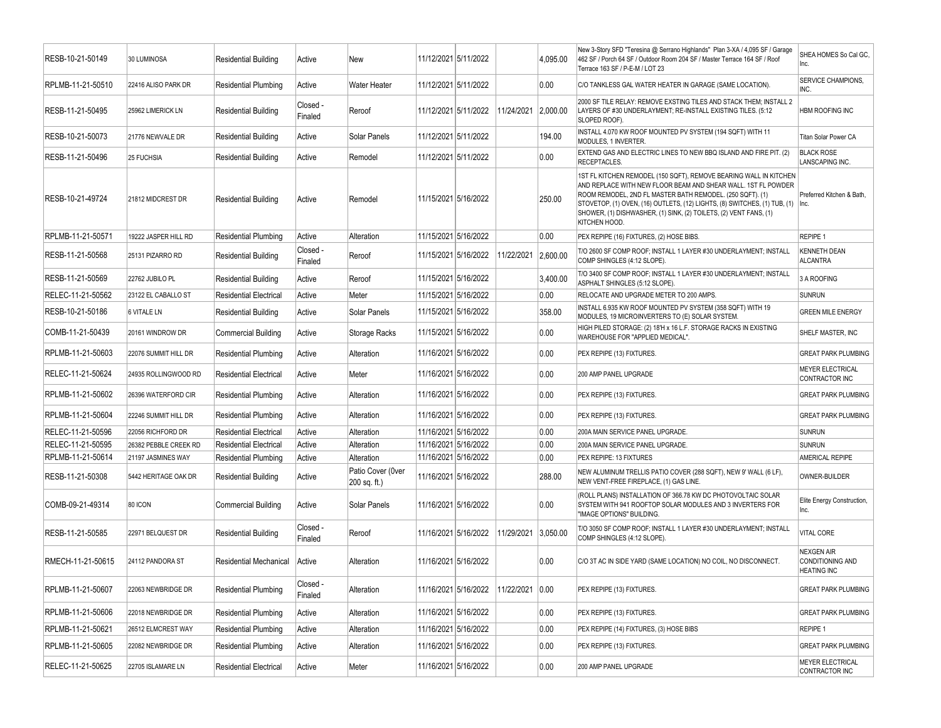| RESB-10-21-50149  | 30 LUMINOSA           | <b>Residential Building</b>   | Active              | New                               | 11/12/2021 5/11/2022 |                      |            | 4,095.00 | New 3-Story SFD "Teresina @ Serrano Highlands" Plan 3-XA / 4,095 SF / Garage<br>462 SF / Porch 64 SF / Outdoor Room 204 SF / Master Terrace 164 SF / Roof<br>Terrace 163 SF / P-E-M / LOT 23                                                                                                                                                                             | SHEA HOMES So Cal GC,<br>lnc.                               |
|-------------------|-----------------------|-------------------------------|---------------------|-----------------------------------|----------------------|----------------------|------------|----------|--------------------------------------------------------------------------------------------------------------------------------------------------------------------------------------------------------------------------------------------------------------------------------------------------------------------------------------------------------------------------|-------------------------------------------------------------|
| RPLMB-11-21-50510 | 22416 ALISO PARK DR   | <b>Residential Plumbing</b>   | Active              | <b>Water Heater</b>               | 11/12/2021 5/11/2022 |                      |            | 0.00     | C/O TANKLESS GAL WATER HEATER IN GARAGE (SAME LOCATION).                                                                                                                                                                                                                                                                                                                 | <b>SERVICE CHAMPIONS,</b><br>INC.                           |
| RESB-11-21-50495  | 25962 LIMERICK LN     | <b>Residential Building</b>   | Closed -<br>Finaled | Reroof                            |                      | 11/12/2021 5/11/2022 | 11/24/2021 | 2,000.00 | 2000 SF TILE RELAY: REMOVE EXSTING TILES AND STACK THEM; INSTALL 2<br>LAYERS OF #30 UNDERLAYMENT; RE-INSTALL EXISTING TILES. (5:12<br>SLOPED ROOF).                                                                                                                                                                                                                      | <b>HBM ROOFING INC</b>                                      |
| RESB-10-21-50073  | 21776 NEWVALE DR      | <b>Residential Building</b>   | Active              | Solar Panels                      | 11/12/2021 5/11/2022 |                      |            | 194.00   | INSTALL 4.070 KW ROOF MOUNTED PV SYSTEM (194 SQFT) WITH 11<br>MODULES, 1 INVERTER.                                                                                                                                                                                                                                                                                       | Titan Solar Power CA                                        |
| RESB-11-21-50496  | 25 FUCHSIA            | <b>Residential Building</b>   | Active              | Remodel                           | 11/12/2021 5/11/2022 |                      |            | 0.00     | EXTEND GAS AND ELECTRIC LINES TO NEW BBQ ISLAND AND FIRE PIT. (2)<br>RECEPTACLES.                                                                                                                                                                                                                                                                                        | <b>BLACK ROSE</b><br>LANSCAPING INC.                        |
| RESB-10-21-49724  | 21812 MIDCREST DR     | Residential Building          | Active              | Remodel                           | 11/15/2021 5/16/2022 |                      |            | 250.00   | 1ST FL KITCHEN REMODEL (150 SQFT), REMOVE BEARING WALL IN KITCHEN<br>AND REPLACE WITH NEW FLOOR BEAM AND SHEAR WALL. 1ST FL POWDER<br>ROOM REMODEL, 2ND FL MASTER BATH REMODEL. (250 SQFT). (1)<br>STOVETOP, (1) OVEN, (16) OUTLETS, (12) LIGHTS, (8) SWITCHES, (1) TUB, (1)  Inc.<br>SHOWER, (1) DISHWASHER, (1) SINK, (2) TOILETS, (2) VENT FANS, (1)<br>KITCHEN HOOD. | Preferred Kitchen & Bath,                                   |
| RPLMB-11-21-50571 | 19222 JASPER HILL RD  | <b>Residential Plumbing</b>   | Active              | Alteration                        | 11/15/2021 5/16/2022 |                      |            | 0.00     | PEX REPIPE (16) FIXTURES, (2) HOSE BIBS.                                                                                                                                                                                                                                                                                                                                 | REPIPE 1                                                    |
| RESB-11-21-50568  | 25131 PIZARRO RD      | Residential Building          | Closed -<br>Finaled | Reroof                            |                      | 11/15/2021 5/16/2022 | 11/22/2021 | 2,600.00 | T/O 2600 SF COMP ROOF; INSTALL 1 LAYER #30 UNDERLAYMENT; INSTALL<br>COMP SHINGLES (4:12 SLOPE)                                                                                                                                                                                                                                                                           | <b>KENNETH DEAN</b><br><b>ALCANTRA</b>                      |
| RESB-11-21-50569  | 22762 JUBILO PL       | <b>Residential Building</b>   | Active              | Reroof                            | 11/15/2021 5/16/2022 |                      |            | 3,400.00 | T/O 3400 SF COMP ROOF; INSTALL 1 LAYER #30 UNDERLAYMENT; INSTALL<br>ASPHALT SHINGLES (5:12 SLOPE).                                                                                                                                                                                                                                                                       | 3 A ROOFING                                                 |
| RELEC-11-21-50562 | 23122 EL CABALLO ST   | <b>Residential Electrical</b> | Active              | Meter                             | 11/15/2021 5/16/2022 |                      |            | 0.00     | RELOCATE AND UPGRADE METER TO 200 AMPS.                                                                                                                                                                                                                                                                                                                                  | <b>SUNRUN</b>                                               |
| RESB-10-21-50186  | 6 VITALE LN           | <b>Residential Building</b>   | Active              | Solar Panels                      | 11/15/2021 5/16/2022 |                      |            | 358.00   | INSTALL 6.935 KW ROOF MOUNTED PV SYSTEM (358 SQFT) WITH 19<br>MODULES, 19 MICROINVERTERS TO (E) SOLAR SYSTEM.                                                                                                                                                                                                                                                            | <b>GREEN MILE ENERGY</b>                                    |
| COMB-11-21-50439  | 20161 WINDROW DR      | <b>Commercial Building</b>    | Active              | <b>Storage Racks</b>              | 11/15/2021 5/16/2022 |                      |            | 0.00     | HIGH PILED STORAGE: (2) 18'H x 16 L.F. STORAGE RACKS IN EXISTING<br>WAREHOUSE FOR "APPLIED MEDICAL".                                                                                                                                                                                                                                                                     | <b>SHELF MASTER, INC</b>                                    |
| RPLMB-11-21-50603 | 22076 SUMMIT HILL DR  | <b>Residential Plumbing</b>   | Active              | Alteration                        | 11/16/2021 5/16/2022 |                      |            | 0.00     | PEX REPIPE (13) FIXTURES.                                                                                                                                                                                                                                                                                                                                                | <b>GREAT PARK PLUMBING</b>                                  |
| RELEC-11-21-50624 | 24935 ROLLINGWOOD RD  | Residential Electrical        | Active              | Meter                             | 11/16/2021 5/16/2022 |                      |            | 0.00     | 200 AMP PANEL UPGRADE                                                                                                                                                                                                                                                                                                                                                    | <b>MEYER ELECTRICAL</b><br>CONTRACTOR INC                   |
| RPLMB-11-21-50602 | 26396 WATERFORD CIR   | <b>Residential Plumbing</b>   | Active              | Alteration                        | 11/16/2021 5/16/2022 |                      |            | 0.00     | PEX REPIPE (13) FIXTURES.                                                                                                                                                                                                                                                                                                                                                | <b>GREAT PARK PLUMBING</b>                                  |
| RPLMB-11-21-50604 | 22246 SUMMIT HILL DR  | <b>Residential Plumbing</b>   | Active              | Alteration                        | 11/16/2021 5/16/2022 |                      |            | 0.00     | PEX REPIPE (13) FIXTURES.                                                                                                                                                                                                                                                                                                                                                | <b>GREAT PARK PLUMBING</b>                                  |
| RELEC-11-21-50596 | 22056 RICHFORD DR     | <b>Residential Electrical</b> | Active              | Alteration                        | 11/16/2021 5/16/2022 |                      |            | 0.00     | 200A MAIN SERVICE PANEL UPGRADE.                                                                                                                                                                                                                                                                                                                                         | <b>SUNRUN</b>                                               |
| RELEC-11-21-50595 | 26382 PEBBLE CREEK RD | <b>Residential Electrical</b> | Active              | Alteration                        | 11/16/2021 5/16/2022 |                      |            | 0.00     | 200A MAIN SERVICE PANEL UPGRADE.                                                                                                                                                                                                                                                                                                                                         | <b>SUNRUN</b>                                               |
| RPLMB-11-21-50614 | 21197 JASMINES WAY    | <b>Residential Plumbing</b>   | Active              | Alteration                        | 11/16/2021 5/16/2022 |                      |            | 0.00     | PEX REPIPE: 13 FIXTURES                                                                                                                                                                                                                                                                                                                                                  | AMERICAL REPIPE                                             |
| RESB-11-21-50308  | 5442 HERITAGE OAK DR  | <b>Residential Building</b>   | Active              | Patio Cover (0ver<br>200 sq. ft.) | 11/16/2021 5/16/2022 |                      |            | 288.00   | NEW ALUMINUM TRELLIS PATIO COVER (288 SQFT), NEW 9' WALL (6 LF),<br>NEW VENT-FREE FIREPLACE, (1) GAS LINE.                                                                                                                                                                                                                                                               | OWNER-BUILDER                                               |
| COMB-09-21-49314  | 80 ICON               | <b>Commercial Building</b>    | Active              | Solar Panels                      | 11/16/2021 5/16/2022 |                      |            | 0.00     | (ROLL PLANS) INSTALLATION OF 366.78 KW DC PHOTOVOLTAIC SOLAR<br>SYSTEM WITH 941 ROOFTOP SOLAR MODULES AND 3 INVERTERS FOR<br>"IMAGE OPTIONS" BUILDING.                                                                                                                                                                                                                   | Elite Energy Construction,<br>Inc.                          |
| RESB-11-21-50585  | 22971 BELQUEST DR     | <b>Residential Building</b>   | Closed -<br>Finaled | Reroof                            |                      | 11/16/2021 5/16/2022 | 11/29/2021 | 3,050.00 | T/O 3050 SF COMP ROOF; INSTALL 1 LAYER #30 UNDERLAYMENT; INSTALL<br>COMP SHINGLES (4:12 SLOPE).                                                                                                                                                                                                                                                                          | <b>VITAL CORE</b>                                           |
| RMECH-11-21-50615 | 24112 PANDORA ST      | <b>Residential Mechanical</b> | Active              | Alteration                        | 11/16/2021 5/16/2022 |                      |            | 0.00     | C/O 3T AC IN SIDE YARD (SAME LOCATION) NO COIL, NO DISCONNECT.                                                                                                                                                                                                                                                                                                           | <b>NEXGEN AIR</b><br>CONDITIONING AND<br><b>HEATING INC</b> |
| RPLMB-11-21-50607 | 22063 NEWBRIDGE DR    | <b>Residential Plumbing</b>   | Closed -<br>Finaled | Alteration                        |                      | 11/16/2021 5/16/2022 | 11/22/2021 | 0.00     | PEX REPIPE (13) FIXTURES.                                                                                                                                                                                                                                                                                                                                                | <b>GREAT PARK PLUMBING</b>                                  |
| RPLMB-11-21-50606 | 22018 NEWBRIDGE DR    | <b>Residential Plumbing</b>   | Active              | Alteration                        |                      | 11/16/2021 5/16/2022 |            | 0.00     | PEX REPIPE (13) FIXTURES.                                                                                                                                                                                                                                                                                                                                                | <b>GREAT PARK PLUMBING</b>                                  |
| RPLMB-11-21-50621 | 26512 ELMCREST WAY    | <b>Residential Plumbing</b>   | Active              | Alteration                        |                      | 11/16/2021 5/16/2022 |            | 0.00     | PEX REPIPE (14) FIXTURES, (3) HOSE BIBS                                                                                                                                                                                                                                                                                                                                  | <b>REPIPE 1</b>                                             |
| RPLMB-11-21-50605 | 22082 NEWBRIDGE DR    | <b>Residential Plumbing</b>   | Active              | Alteration                        |                      | 11/16/2021 5/16/2022 |            | 0.00     | PEX REPIPE (13) FIXTURES.                                                                                                                                                                                                                                                                                                                                                | <b>GREAT PARK PLUMBING</b>                                  |
| RELEC-11-21-50625 | 22705 ISLAMARE LN     | <b>Residential Electrical</b> | Active              | Meter                             |                      | 11/16/2021 5/16/2022 |            | 0.00     | 200 AMP PANEL UPGRADE                                                                                                                                                                                                                                                                                                                                                    | <b>MEYER ELECTRICAL</b><br>CONTRACTOR INC                   |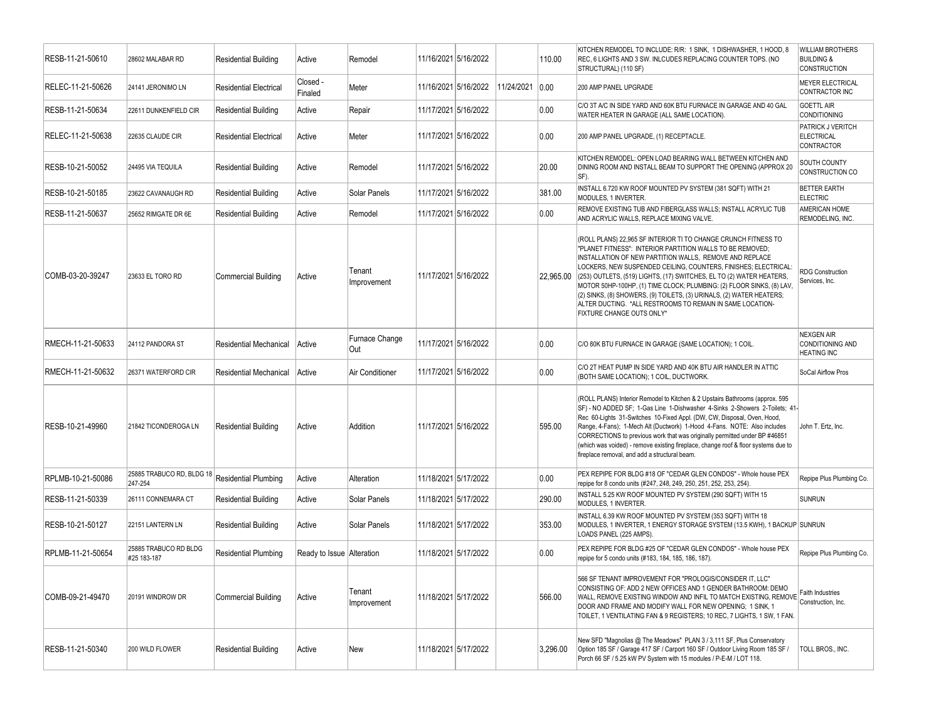| RESB-11-21-50610  | 28602 MALABAR RD                     | <b>Residential Building</b>   | Active                    | Remodel               | 11/16/2021 5/16/2022 |            | 110.00    | KITCHEN REMODEL TO INCLUDE: R/R: 1 SINK, 1 DISHWASHER, 1 HOOD, 8<br>REC, 6 LIGHTS AND 3 SW. INLCUDES REPLACING COUNTER TOPS. (NO<br>STRUCTURAL) (110 SF)                                                                                                                                                                                                                                                                                                                                                                                                                      | <b>WILLIAM BROTHERS</b><br><b>BUILDING &amp;</b><br><b>CONSTRUCTION</b> |
|-------------------|--------------------------------------|-------------------------------|---------------------------|-----------------------|----------------------|------------|-----------|-------------------------------------------------------------------------------------------------------------------------------------------------------------------------------------------------------------------------------------------------------------------------------------------------------------------------------------------------------------------------------------------------------------------------------------------------------------------------------------------------------------------------------------------------------------------------------|-------------------------------------------------------------------------|
| RELEC-11-21-50626 | 24141 JERONIMO LN                    | <b>Residential Electrical</b> | Closed -<br>Finaled       | Meter                 | 11/16/2021 5/16/2022 | 11/24/2021 | 0.00      | 200 AMP PANEL UPGRADE                                                                                                                                                                                                                                                                                                                                                                                                                                                                                                                                                         | <b>MEYER ELECTRICAL</b><br>CONTRACTOR INC                               |
| RESB-11-21-50634  | 22611 DUNKENFIELD CIR                | <b>Residential Building</b>   | Active                    | Repair                | 11/17/2021 5/16/2022 |            | 0.00      | C/O 3T A/C IN SIDE YARD AND 60K BTU FURNACE IN GARAGE AND 40 GAL<br>WATER HEATER IN GARAGE (ALL SAME LOCATION).                                                                                                                                                                                                                                                                                                                                                                                                                                                               | <b>GOETTL AIR</b><br><b>CONDITIONING</b>                                |
| RELEC-11-21-50638 | 22635 CLAUDE CIR                     | <b>Residential Electrical</b> | Active                    | Meter                 | 11/17/2021 5/16/2022 |            | 0.00      | 200 AMP PANEL UPGRADE, (1) RECEPTACLE.                                                                                                                                                                                                                                                                                                                                                                                                                                                                                                                                        | PATRICK J VERITCH<br><b>ELECTRICAL</b><br>CONTRACTOR                    |
| RESB-10-21-50052  | 24495 VIA TEQUILA                    | <b>Residential Building</b>   | Active                    | Remodel               | 11/17/2021 5/16/2022 |            | 20.00     | KITCHEN REMODEL: OPEN LOAD BEARING WALL BETWEEN KITCHEN AND<br>DINING ROOM AND INSTALL BEAM TO SUPPORT THE OPENING (APPROX 20<br>SF).                                                                                                                                                                                                                                                                                                                                                                                                                                         | SOUTH COUNTY<br>CONSTRUCTION CO                                         |
| RESB-10-21-50185  | 23622 CAVANAUGH RD                   | <b>Residential Building</b>   | Active                    | Solar Panels          | 11/17/2021 5/16/2022 |            | 381.00    | INSTALL 6.720 KW ROOF MOUNTED PV SYSTEM (381 SQFT) WITH 21<br>MODULES, 1 INVERTER.                                                                                                                                                                                                                                                                                                                                                                                                                                                                                            | <b>BETTER EARTH</b><br><b>ELECTRIC</b>                                  |
| RESB-11-21-50637  | 25652 RIMGATE DR 6E                  | <b>Residential Building</b>   | Active                    | Remodel               | 11/17/2021 5/16/2022 |            | 0.00      | REMOVE EXISTING TUB AND FIBERGLASS WALLS; INSTALL ACRYLIC TUB<br>AND ACRYLIC WALLS, REPLACE MIXING VALVE.                                                                                                                                                                                                                                                                                                                                                                                                                                                                     | AMERICAN HOME<br>REMODELING, INC.                                       |
| COMB-03-20-39247  | 23633 EL TORO RD                     | <b>Commercial Building</b>    | Active                    | Tenant<br>Improvement | 11/17/2021 5/16/2022 |            | 22,965.00 | (ROLL PLANS) 22,965 SF INTERIOR TI TO CHANGE CRUNCH FITNESS TO<br>"PLANET FITNESS": INTERIOR PARTITION WALLS TO BE REMOVED;<br>INSTALLATION OF NEW PARTITION WALLS, REMOVE AND REPLACE<br>LOCKERS, NEW SUSPENDED CEILING, COUNTERS, FINISHES; ELECTRICAL:<br>(253) OUTLETS, (519) LIGHTS, (17) SWITCHES, EL TO (2) WATER HEATERS,<br>MOTOR 50HP-100HP, (1) TIME CLOCK; PLUMBING: (2) FLOOR SINKS, (8) LAV,<br>(2) SINKS, (8) SHOWERS, (9) TOILETS, (3) URINALS, (2) WATER HEATERS;<br>ALTER DUCTING. * ALL RESTROOMS TO REMAIN IN SAME LOCATION-<br>FIXTURE CHANGE OUTS ONLY* | <b>RDG Construction</b><br>Services, Inc.                               |
| RMECH-11-21-50633 | 24112 PANDORA ST                     | <b>Residential Mechanical</b> | Active                    | Furnace Change<br>Out | 11/17/2021 5/16/2022 |            | 0.00      | C/O 80K BTU FURNACE IN GARAGE (SAME LOCATION); 1 COIL.                                                                                                                                                                                                                                                                                                                                                                                                                                                                                                                        | <b>NEXGEN AIR</b><br>CONDITIONING AND<br><b>HEATING INC</b>             |
| RMECH-11-21-50632 | 26371 WATERFORD CIR                  | <b>Residential Mechanical</b> | Active                    | Air Conditioner       | 11/17/2021 5/16/2022 |            | 0.00      | C/O 2T HEAT PUMP IN SIDE YARD AND 40K BTU AIR HANDLER IN ATTIC<br>(BOTH SAME LOCATION); 1 COIL, DUCTWORK.                                                                                                                                                                                                                                                                                                                                                                                                                                                                     | SoCal Airflow Pros                                                      |
| RESB-10-21-49960  | 21842 TICONDEROGA LN                 | <b>Residential Building</b>   | Active                    | Addition              | 11/17/2021 5/16/2022 |            | 595.00    | (ROLL PLANS) Interior Remodel to Kitchen & 2 Upstairs Bathrooms (approx. 595<br>SF) - NO ADDED SF; 1-Gas Line 1-Dishwasher 4-Sinks 2-Showers 2-Toilets; 41-<br>Rec 60-Lights 31-Switches 10-Fixed Appl. (DW, CW, Disposal, Oven, Hood,<br>Range, 4-Fans); 1-Mech Alt (Ductwork) 1-Hood 4-Fans. NOTE: Also includes<br>CORRECTIONS to previous work that was originally permitted under BP #46851<br>(which was voided) - remove existing fireplace, change roof & floor systems due to<br>fireplace removal, and add a structural beam.                                       | John T. Ertz, Inc.                                                      |
| RPLMB-10-21-50086 | 25885 TRABUCO RD, BLDG 18<br>247-254 | <b>Residential Plumbing</b>   | Active                    | Alteration            | 11/18/2021 5/17/2022 |            | 0.00      | PEX REPIPE FOR BLDG #18 OF "CEDAR GLEN CONDOS" - Whole house PEX<br>repipe for 8 condo units (#247, 248, 249, 250, 251, 252, 253, 254).                                                                                                                                                                                                                                                                                                                                                                                                                                       | Repipe Plus Plumbing Co.                                                |
| RESB-11-21-50339  | 26111 CONNEMARA CT                   | <b>Residential Building</b>   | Active                    | Solar Panels          | 11/18/2021 5/17/2022 |            | 290.00    | INSTALL 5.25 KW ROOF MOUNTED PV SYSTEM (290 SQFT) WITH 15<br>MODULES, 1 INVERTER.                                                                                                                                                                                                                                                                                                                                                                                                                                                                                             | <b>SUNRUN</b>                                                           |
| RESB-10-21-50127  | 22151 LANTERN LN                     | <b>Residential Building</b>   | Active                    | Solar Panels          | 11/18/2021 5/17/2022 |            | 353.00    | INSTALL 6.39 KW ROOF MOUNTED PV SYSTEM (353 SQFT) WITH 18<br>MODULES, 1 INVERTER, 1 ENERGY STORAGE SYSTEM (13.5 KWH), 1 BACKUP SUNRUN<br>LOADS PANEL (225 AMPS).                                                                                                                                                                                                                                                                                                                                                                                                              |                                                                         |
| RPLMB-11-21-50654 | 25885 TRABUCO RD BLDG<br>#25 183-187 | <b>Residential Plumbing</b>   | Ready to Issue Alteration |                       | 11/18/2021 5/17/2022 |            | 0.00      | PEX REPIPE FOR BLDG #25 OF "CEDAR GLEN CONDOS" - Whole house PEX<br>repipe for 5 condo units (#183, 184, 185, 186, 187).                                                                                                                                                                                                                                                                                                                                                                                                                                                      | Repipe Plus Plumbing Co.                                                |
| COMB-09-21-49470  | 20191 WINDROW DR                     | <b>Commercial Building</b>    | Active                    | Tenant<br>Improvement | 11/18/2021 5/17/2022 |            | 566.00    | 566 SF TENANT IMPROVEMENT FOR "PROLOGIS/CONSIDER IT, LLC"<br>CONSISTING OF: ADD 2 NEW OFFICES AND 1 GENDER BATHROOM: DEMO<br>WALL, REMOVE EXISTING WINDOW AND INFIL TO MATCH EXISTING, REMOVE Construction, Inc.<br>DOOR AND FRAME AND MODIFY WALL FOR NEW OPENING: 1 SINK. 1<br>TOILET, 1 VENTILATING FAN & 9 REGISTERS; 10 REC, 7 LIGHTS, 1 SW, 1 FAN.                                                                                                                                                                                                                      |                                                                         |
| RESB-11-21-50340  | 200 WILD FLOWER                      | <b>Residential Building</b>   | Active                    | New                   | 11/18/2021 5/17/2022 |            | 3,296.00  | New SFD "Magnolias @ The Meadows" PLAN 3/3,111 SF, Plus Conservatory<br>Option 185 SF / Garage 417 SF / Carport 160 SF / Outdoor Living Room 185 SF /<br>Porch 66 SF / 5.25 kW PV System with 15 modules / P-E-M / LOT 118.                                                                                                                                                                                                                                                                                                                                                   | TOLL BROS., INC.                                                        |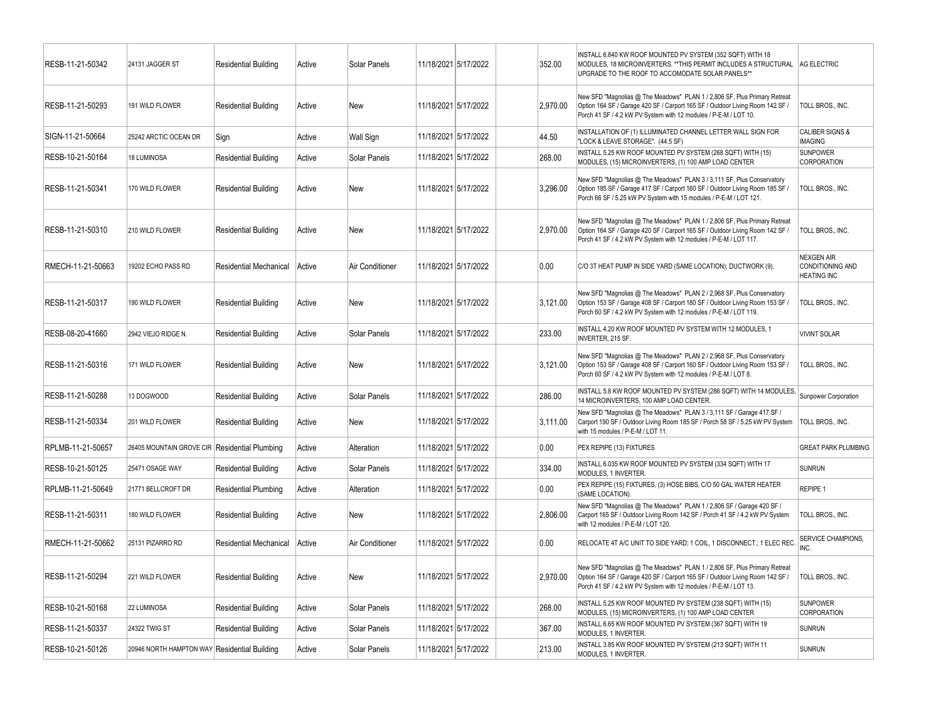| RESB-11-21-50342  | 24131 JAGGER ST                              | <b>Residential Building</b>   | Active | Solar Panels    | 11/18/2021 5/17/2022 | 352.00   | INSTALL 6.840 KW ROOF MOUNTED PV SYSTEM (352 SQFT) WITH 18<br>MODULES, 18 MICROINVERTERS. ** THIS PERMIT INCLUDES A STRUCTURAL   AG ELECTRIC<br>UPGRADE TO THE ROOF TO ACCOMODATE SOLAR PANELS**                                |                                                             |
|-------------------|----------------------------------------------|-------------------------------|--------|-----------------|----------------------|----------|---------------------------------------------------------------------------------------------------------------------------------------------------------------------------------------------------------------------------------|-------------------------------------------------------------|
| RESB-11-21-50293  | 191 WILD FLOWER                              | <b>Residential Building</b>   | Active | New             | 11/18/2021 5/17/2022 | 2,970.00 | New SFD "Magnolias @ The Meadows" PLAN 1 / 2,806 SF, Plus Primary Retreat<br>Option 164 SF / Garage 420 SF / Carport 165 SF / Outdoor Living Room 142 SF /<br>Porch 41 SF / 4.2 kW PV System with 12 modules / P-E-M / LOT 10.  | TOLL BROS., INC.                                            |
| SIGN-11-21-50664  | 25242 ARCTIC OCEAN DR                        | Sign                          | Active | Wall Sign       | 11/18/2021 5/17/2022 | 44.50    | INSTALLATION OF (1) ILLUMINATED CHANNEL LETTER WALL SIGN FOR<br>"LOCK & LEAVE STORAGE". (44.5 SF)                                                                                                                               | <b>CALIBER SIGNS &amp;</b><br><b>IMAGING</b>                |
| RESB-10-21-50164  | 18 LUMINOSA                                  | <b>Residential Building</b>   | Active | Solar Panels    | 11/18/2021 5/17/2022 | 268.00   | INSTALL 5.25 KW ROOF MOUNTED PV SYSTEM (268 SQFT) WITH (15)<br>MODULES, (15) MICROINVERTERS, (1) 100 AMP LOAD CENTER                                                                                                            | <b>SUNPOWER</b><br>CORPORATION                              |
| RESB-11-21-50341  | 170 WILD FLOWER                              | <b>Residential Building</b>   | Active | New             | 11/18/2021 5/17/2022 | 3,296.00 | New SFD "Magnolias @ The Meadows" PLAN 3 / 3,111 SF, Plus Conservatory<br>Option 185 SF / Garage 417 SF / Carport 160 SF / Outdoor Living Room 185 SF /<br>Porch 66 SF / 5.25 kW PV System with 15 modules / P-E-M / LOT 121.   | TOLL BROS., INC.                                            |
| RESB-11-21-50310  | 210 WILD FLOWER                              | <b>Residential Building</b>   | Active | New             | 11/18/2021 5/17/2022 | 2,970.00 | New SFD "Magnolias @ The Meadows" PLAN 1 / 2,806 SF, Plus Primary Retreat<br>Option 164 SF / Garage 420 SF / Carport 165 SF / Outdoor Living Room 142 SF /<br>Porch 41 SF / 4.2 kW PV System with 12 modules / P-E-M / LOT 117. | TOLL BROS., INC.                                            |
| RMECH-11-21-50663 | 19202 ECHO PASS RD                           | Residential Mechanical        | Active | Air Conditioner | 11/18/2021 5/17/2022 | 0.00     | C/O 3T HEAT PUMP IN SIDE YARD (SAME LOCATION); DUCTWORK (9).                                                                                                                                                                    | <b>NEXGEN AIR</b><br>CONDITIONING AND<br><b>HEATING INC</b> |
| RESB-11-21-50317  | 190 WILD FLOWER                              | <b>Residential Building</b>   | Active | New             | 11/18/2021 5/17/2022 | 3,121.00 | New SFD "Magnolias @ The Meadows" PLAN 2 / 2,968 SF, Plus Conservatory<br>Option 153 SF / Garage 408 SF / Carport 180 SF / Outdoor Living Room 153 SF /<br>Porch 60 SF / 4.2 kW PV System with 12 modules / P-E-M / LOT 119.    | TOLL BROS., INC.                                            |
| RESB-08-20-41660  | 2942 VIEJO RIDGE N.                          | <b>Residential Building</b>   | Active | Solar Panels    | 11/18/2021 5/17/2022 | 233.00   | INSTALL 4.20 KW ROOF MOUNTED PV SYSTEM WITH 12 MODULES, 1<br><b>INVERTER, 215 SF.</b>                                                                                                                                           | <b>VIVINT SOLAR</b>                                         |
| RESB-11-21-50316  | 171 WILD FLOWER                              | <b>Residential Building</b>   | Active | New             | 11/18/2021 5/17/2022 | 3.121.00 | New SFD "Magnolias @ The Meadows" PLAN 2 / 2,968 SF, Plus Conservatory<br>Option 153 SF / Garage 408 SF / Carport 160 SF / Outdoor Living Room 153 SF /<br>Porch 60 SF / 4.2 kW PV System with 12 modules / P-E-M / LOT 8.      | TOLL BROS., INC.                                            |
| RESB-11-21-50288  | 13 DOGWOOD                                   | <b>Residential Building</b>   | Active | Solar Panels    | 11/18/2021 5/17/2022 | 286.00   | INSTALL 5.8 KW ROOF MOUNTED PV SYSTEM (286 SQFT) WITH 14 MODULES,<br>14 MICROINVERTERS, 100 AMP LOAD CENTER.                                                                                                                    | Sunpower Corporation                                        |
| RESB-11-21-50334  | 201 WILD FLOWER                              | <b>Residential Building</b>   | Active | New             | 11/18/2021 5/17/2022 | 3,111.00 | New SFD "Magnolias @ The Meadows" PLAN 3 / 3,111 SF / Garage 417 SF /<br>Carport 190 SF / Outdoor Living Room 185 SF / Porch 58 SF / 5.25 kW PV System<br>with 15 modules / P-E-M / LOT 11.                                     | <b>TOLL BROS., INC.</b>                                     |
| RPLMB-11-21-50657 | 26405 MOUNTAIN GROVE CIR                     | <b>Residential Plumbing</b>   | Active | Alteration      | 11/18/2021 5/17/2022 | 0.00     | PEX REPIPE (13) FIXTURES                                                                                                                                                                                                        | <b>GREAT PARK PLUMBING</b>                                  |
| RESB-10-21-50125  | 25471 OSAGE WAY                              | <b>Residential Building</b>   | Active | Solar Panels    | 11/18/2021 5/17/2022 | 334.00   | INSTALL 6.035 KW ROOF MOUNTED PV SYSTEM (334 SQFT) WITH 17<br>MODULES, 1 INVERTER.                                                                                                                                              | <b>SUNRUN</b>                                               |
| RPLMB-11-21-50649 | 21771 BELLCROFT DR                           | <b>Residential Plumbing</b>   | Active | Alteration      | 11/18/2021 5/17/2022 | 0.00     | PEX REPIPE (15) FIXTURES, (3) HOSE BIBS, C/O 50 GAL WATER HEATER<br>(SAME LOCATION).                                                                                                                                            | REPIPE 1                                                    |
| RESB-11-21-50311  | 180 WILD FLOWER                              | <b>Residential Building</b>   | Active | New             | 11/18/2021 5/17/2022 | 2,806.00 | New SFD "Magnolias @ The Meadows" PLAN 1 / 2,806 SF / Garage 420 SF /<br>Carport 165 SF / Outdoor Living Room 142 SF / Porch 41 SF / 4.2 kW PV System<br>with 12 modules / P-E-M / LOT 120.                                     | TOLL BROS., INC.                                            |
| RMECH-11-21-50662 | 25131 PIZARRO RD                             | <b>Residential Mechanical</b> | Active | Air Conditioner | 11/18/2021 5/17/2022 | 0.00     | RELOCATE 4T A/C UNIT TO SIDE YARD; 1 COIL, 1 DISCONNECT.; 1 ELEC REC.                                                                                                                                                           | <b>SERVICE CHAMPIONS,</b><br>INC.                           |
| RESB-11-21-50294  | 221 WILD FLOWER                              | <b>Residential Building</b>   | Active | New             | 11/18/2021 5/17/2022 | 2,970.00 | New SFD "Magnolias @ The Meadows" PLAN 1 / 2,806 SF, Plus Primary Retreat<br>Option 164 SF / Garage 420 SF / Carport 165 SF / Outdoor Living Room 142 SF /<br>Porch 41 SF / 4.2 kW PV System with 12 modules / P-E-M / LOT 13.  | TOLL BROS., INC.                                            |
| RESB-10-21-50168  | 22 LUMINOSA                                  | Residential Building          | Active | Solar Panels    | 11/18/2021 5/17/2022 | 268.00   | INSTALL 5.25 KW ROOF MOUNTED PV SYSTEM (238 SQFT) WITH (15)<br>MODULES, (15) MICROINVERTERS, (1) 100 AMP LOAD CENTER                                                                                                            | <b>SUNPOWER</b><br>CORPORATION                              |
| RESB-11-21-50337  | 24322 TWIG ST                                | <b>Residential Building</b>   | Active | Solar Panels    | 11/18/2021 5/17/2022 | 367.00   | INSTALL 6.65 KW ROOF MOUNTED PV SYSTEM (367 SQFT) WITH 19<br>MODULES, 1 INVERTER.                                                                                                                                               | <b>SUNRUN</b>                                               |
| RESB-10-21-50126  | 20946 NORTH HAMPTON WAY Residential Building |                               | Active | Solar Panels    | 11/18/2021 5/17/2022 | 213.00   | INSTALL 3.85 KW ROOF MOUNTED PV SYSTEM (213 SQFT) WITH 11<br>MODULES, 1 INVERTER.                                                                                                                                               | <b>SUNRUN</b>                                               |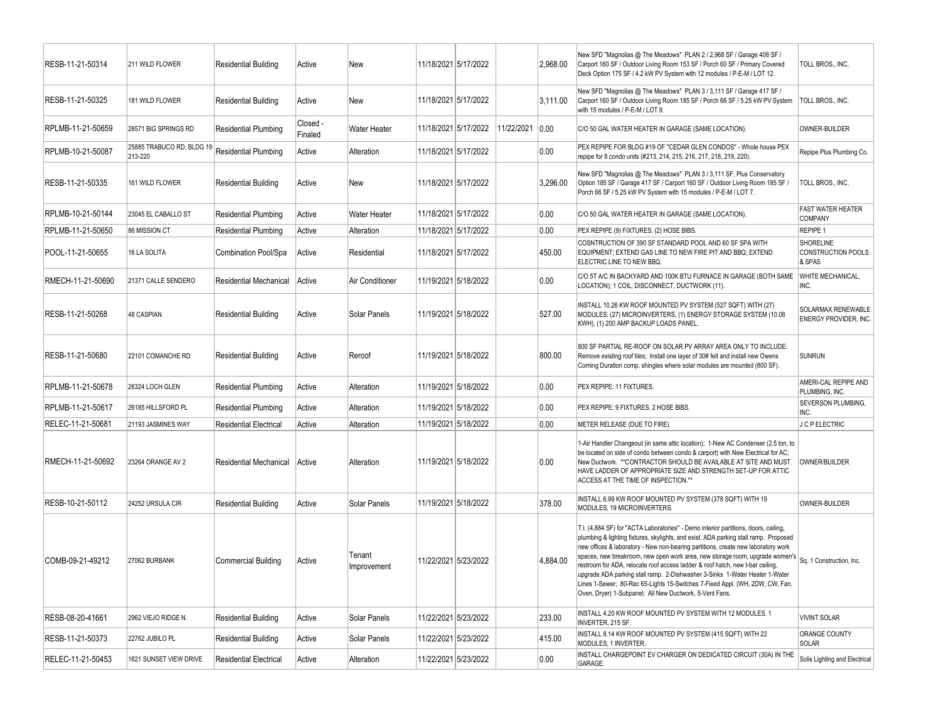| RESB-11-21-50314  | 211 WILD FLOWER                      | <b>Residential Building</b>   | Active              | New                   |                      | 11/18/2021 5/17/2022 |            | 2,968.00 | New SFD "Magnolias @ The Meadows" PLAN 2 / 2,968 SF / Garage 408 SF /<br>Carport 160 SF / Outdoor Living Room 153 SF / Porch 60 SF / Primary Covered<br>Deck Option 175 SF / 4.2 kW PV System with 12 modules / P-E-M / LOT 12.                                                                                                                                                                                                                                                                                                                                                                                                                                                        | TOLL BROS., INC.                                   |
|-------------------|--------------------------------------|-------------------------------|---------------------|-----------------------|----------------------|----------------------|------------|----------|----------------------------------------------------------------------------------------------------------------------------------------------------------------------------------------------------------------------------------------------------------------------------------------------------------------------------------------------------------------------------------------------------------------------------------------------------------------------------------------------------------------------------------------------------------------------------------------------------------------------------------------------------------------------------------------|----------------------------------------------------|
| RESB-11-21-50325  | 181 WILD FLOWER                      | <b>Residential Building</b>   | Active              | New                   |                      | 11/18/2021 5/17/2022 |            | 3,111.00 | New SFD "Magnolias @ The Meadows" PLAN 3 / 3,111 SF / Garage 417 SF /<br>Carport 160 SF / Outdoor Living Room 185 SF / Porch 66 SF / 5.25 kW PV System<br>with 15 modules / P-E-M / LOT 9.                                                                                                                                                                                                                                                                                                                                                                                                                                                                                             | TOLL BROS., INC.                                   |
| RPLMB-11-21-50659 | 28571 BIG SPRINGS RD                 | <b>Residential Plumbing</b>   | Closed -<br>Finaled | Water Heater          |                      | 11/18/2021 5/17/2022 | 11/22/2021 | 0.00     | C/O 50 GAL WATER HEATER IN GARAGE (SAME LOCATION).                                                                                                                                                                                                                                                                                                                                                                                                                                                                                                                                                                                                                                     | OWNER-BUILDER                                      |
| RPLMB-10-21-50087 | 25885 TRABUCO RD, BLDG 19<br>213-220 | <b>Residential Plumbing</b>   | Active              | Alteration            |                      | 11/18/2021 5/17/2022 |            | 0.00     | PEX REPIPE FOR BLDG #19 OF "CEDAR GLEN CONDOS" - Whole house PEX<br>repipe for 8 condo units (#213, 214, 215, 216, 217, 218, 219, 220).                                                                                                                                                                                                                                                                                                                                                                                                                                                                                                                                                | Repipe Plus Plumbing Co.                           |
| RESB-11-21-50335  | 161 WILD FLOWER                      | <b>Residential Building</b>   | Active              | New                   |                      | 11/18/2021 5/17/2022 |            | 3,296.00 | New SFD "Magnolias @ The Meadows" PLAN 3 / 3,111 SF, Plus Conservatory<br>Option 185 SF / Garage 417 SF / Carport 160 SF / Outdoor Living Room 185 SF /<br>Porch 66 SF / 5.25 kW PV System with 15 modules / P-E-M / LOT 7.                                                                                                                                                                                                                                                                                                                                                                                                                                                            | TOLL BROS., INC.                                   |
| RPLMB-10-21-50144 | 23045 EL CABALLO ST                  | <b>Residential Plumbing</b>   | Active              | Water Heater          |                      | 11/18/2021 5/17/2022 |            | 0.00     | C/O 50 GAL WATER HEATER IN GARAGE (SAME LOCATION).                                                                                                                                                                                                                                                                                                                                                                                                                                                                                                                                                                                                                                     | <b>FAST WATER HEATER</b><br>COMPANY                |
| RPLMB-11-21-50650 | 86 MISSION CT                        | <b>Residential Plumbing</b>   | Active              | Alteration            | 11/18/2021 5/17/2022 |                      |            | 0.00     | PEX REPIPE (9) FIXTURES, (2) HOSE BIBS.                                                                                                                                                                                                                                                                                                                                                                                                                                                                                                                                                                                                                                                | REPIPE 1                                           |
| POOL-11-21-50655  | 16 LA SOLITA                         | Combination Pool/Spa          | Active              | Residential           |                      | 11/18/2021 5/17/2022 |            | 450.00   | COSNTRUCTION OF 390 SF STANDARD POOL AND 60 SF SPA WITH<br>EQUIPMENT; EXTEND GAS LINE TO NEW FIRE PIT AND BBQ; EXTEND<br>ELECTRIC LINE TO NEW BBQ.                                                                                                                                                                                                                                                                                                                                                                                                                                                                                                                                     | <b>SHORELINE</b><br>CONSTRUCTION POOLS<br>& SPAS   |
| RMECH-11-21-50690 | 21371 CALLE SENDERO                  | Residential Mechanical        | Active              | Air Conditioner       |                      | 11/19/2021 5/18/2022 |            | 0.00     | C/O 5T A/C IN BACKYARD AND 100K BTU FURNACE IN GARAGE (BOTH SAME<br>LOCATION); 1 COIL, DISCONNECT, DUCTWORK (11).                                                                                                                                                                                                                                                                                                                                                                                                                                                                                                                                                                      | WHITE MECHANICAL,<br>INC.                          |
| RESB-11-21-50268  | <b>48 CASPIAN</b>                    | <b>Residential Building</b>   | Active              | Solar Panels          | 11/19/2021 5/18/2022 |                      |            | 527.00   | INSTALL 10.26 KW ROOF MOUNTED PV SYSTEM (527 SQFT) WITH (27)<br>MODULES, (27) MICROINVERTERS, (1) ENERGY STORAGE SYSTEM (10.08<br>KWH), (1) 200 AMP BACKUP LOADS PANEL.                                                                                                                                                                                                                                                                                                                                                                                                                                                                                                                | SOLARMAX RENEWABLE<br><b>ENERGY PROVIDER. INC.</b> |
| RESB-11-21-50680  | 22101 COMANCHE RD                    | <b>Residential Building</b>   | Active              | Reroof                |                      | 11/19/2021 5/18/2022 |            | 800.00   | 800 SF PARTIAL RE-ROOF ON SOLAR PV ARRAY AREA ONLY TO INCLUDE:<br>Remove existing roof tiles; Install one layer of 30# felt and install new Owens<br>Corning Duration comp. shingles where solar modules are mounted (800 SF).                                                                                                                                                                                                                                                                                                                                                                                                                                                         | <b>SUNRUN</b>                                      |
| RPLMB-11-21-50678 | 26324 LOCH GLEN                      | <b>Residential Plumbing</b>   | Active              | Alteration            |                      | 11/19/2021 5/18/2022 |            | 0.00     | PEX REPIPE: 11 FIXTURES.                                                                                                                                                                                                                                                                                                                                                                                                                                                                                                                                                                                                                                                               | AMERI-CAL REPIPE AND<br>PLUMBING, INC.             |
| RPLMB-11-21-50617 | 26185 HILLSFORD PL                   | <b>Residential Plumbing</b>   | Active              | Alteration            |                      | 11/19/2021 5/18/2022 |            | 0.00     | PEX REPIPE: 9 FIXTURES, 2 HOSE BIBS.                                                                                                                                                                                                                                                                                                                                                                                                                                                                                                                                                                                                                                                   | SEVERSON PLUMBING,<br>INC.                         |
| RELEC-11-21-50681 | 21193 JASMINES WAY                   | <b>Residential Electrical</b> | Active              | Alteration            |                      | 11/19/2021 5/18/2022 |            | 0.00     | METER RELEASE (DUE TO FIRE).                                                                                                                                                                                                                                                                                                                                                                                                                                                                                                                                                                                                                                                           | J C P ELECTRIC                                     |
| RMECH-11-21-50692 | 23264 ORANGE AV 2                    | Residential Mechanical        | Active              | Alteration            |                      | 11/19/2021 5/18/2022 |            | 0.00     | 1-Air Handler Changeout (in same attic location); 1-New AC Condenser (2.5 ton, to<br>be located on side of condo between condo & carport) with New Electrical for AC;<br>New Ductwork. ** CONTRACTOR SHOULD BE AVAILABLE AT SITE AND MUST<br>HAVE LADDER OF APPROPRIATE SIZE AND STRENGTH SET-UP FOR ATTIC<br>ACCESS AT THE TIME OF INSPECTION.**                                                                                                                                                                                                                                                                                                                                      | OWNER/BUILDER                                      |
| RESB-10-21-50112  | 24252 URSULA CIR                     | <b>Residential Building</b>   | Active              | Solar Panels          |                      | 11/19/2021 5/18/2022 |            | 378.00   | INSTALL 6.99 KW ROOF MOUNTED PV SYSTEM (378 SQFT) WITH 19<br>MODULES, 19 MICROINVERTERS.                                                                                                                                                                                                                                                                                                                                                                                                                                                                                                                                                                                               | OWNER-BUILDER                                      |
| COMB-09-21-49212  | 27062 BURBANK                        | <b>Commercial Building</b>    | Active              | Tenant<br>Improvement | 11/22/2021 5/23/2022 |                      |            | 4,884.00 | T.I. (4,884 SF) for "ACTA Laboratories" - Demo interior partitions, doors, ceiling,<br>plumbing & lighting fixtures, skylights, and exist. ADA parking stall ramp. Proposed<br>new offices & laboratory - New non-bearing partitions, create new laboratory work<br>spaces, new breakroom, new open work area, new storage room, upgrade women's  Sq. 1 Construction, Inc.<br>restroom for ADA, relocate roof access ladder & roof hatch, new t-bar ceiling,<br>upgrade ADA parking stall ramp. 2-Dishwasher 3-Sinks 1-Water Heater 1-Water<br>Lines 1-Sewer; 80-Rec 65-Lights 15-Switches 7-Fixed Appl. (WH, 2DW, CW, Fan,<br>Oven, Drver) 1-Subpanel: All New Ductwork, 5-Vent Fans. |                                                    |
| RESB-08-20-41661  | 2962 VIEJO RIDGE N.                  | Residential Building          | Active              | Solar Panels          |                      | 11/22/2021 5/23/2022 |            | 233.00   | INSTALL 4.20 KW ROOF MOUNTED PV SYSTEM WITH 12 MODULES, 1<br>INVERTER, 215 SF.                                                                                                                                                                                                                                                                                                                                                                                                                                                                                                                                                                                                         | <b>VIVINT SOLAR</b>                                |
| RESB-11-21-50373  | 22762 JUBILO PL                      | <b>Residential Building</b>   | Active              | Solar Panels          |                      | 11/22/2021 5/23/2022 |            | 415.00   | INSTALL 8.14 KW ROOF MOUNTED PV SYSTEM (415 SQFT) WITH 22<br>MODULES, 1 INVERTER.                                                                                                                                                                                                                                                                                                                                                                                                                                                                                                                                                                                                      | ORANGE COUNTY<br>SOLAR                             |
| RELEC-11-21-50453 | 1621 SUNSET VIEW DRIVE               | <b>Residential Electrical</b> | Active              | Alteration            |                      | 11/22/2021 5/23/2022 |            | $0.00\,$ | INSTALL CHARGEPOINT EV CHARGER ON DEDICATED CIRCUIT (30A) IN THE<br>GARAGE.                                                                                                                                                                                                                                                                                                                                                                                                                                                                                                                                                                                                            | Solis Lighting and Electrical                      |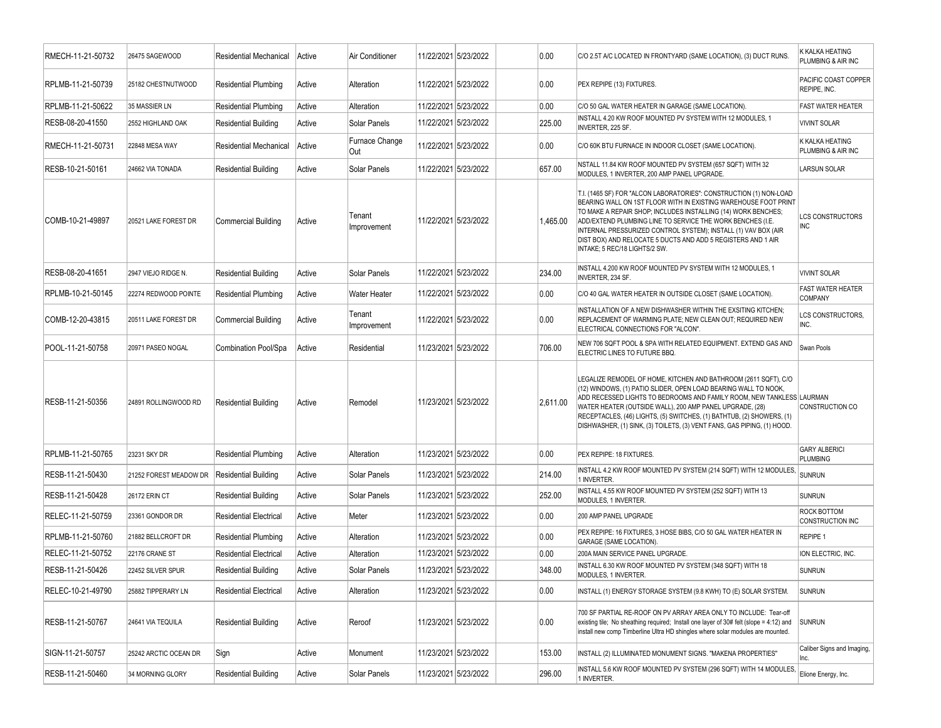| RMECH-11-21-50732 | 26475 SAGEWOOD         | <b>Residential Mechanical</b> | Active | Air Conditioner       | 11/22/2021 5/23/2022 |                      | 0.00     | C/O 2.5T A/C LOCATED IN FRONTYARD (SAME LOCATION), (3) DUCT RUNS.                                                                                                                                                                                                                                                                                                                                                                       | K KALKA HEATING<br>PLUMBING & AIR INC      |
|-------------------|------------------------|-------------------------------|--------|-----------------------|----------------------|----------------------|----------|-----------------------------------------------------------------------------------------------------------------------------------------------------------------------------------------------------------------------------------------------------------------------------------------------------------------------------------------------------------------------------------------------------------------------------------------|--------------------------------------------|
| RPLMB-11-21-50739 | 25182 CHESTNUTWOOD     | <b>Residential Plumbing</b>   | Active | Alteration            |                      | 11/22/2021 5/23/2022 | 0.00     | PEX REPIPE (13) FIXTURES.                                                                                                                                                                                                                                                                                                                                                                                                               | PACIFIC COAST COPPER<br>REPIPE, INC.       |
| RPLMB-11-21-50622 | 35 MASSIER LN          | <b>Residential Plumbing</b>   | Active | Alteration            |                      | 11/22/2021 5/23/2022 | 0.00     | C/O 50 GAL WATER HEATER IN GARAGE (SAME LOCATION).                                                                                                                                                                                                                                                                                                                                                                                      | <b>FAST WATER HEATER</b>                   |
| RESB-08-20-41550  | 2552 HIGHLAND OAK      | <b>Residential Building</b>   | Active | Solar Panels          |                      | 11/22/2021 5/23/2022 | 225.00   | INSTALL 4.20 KW ROOF MOUNTED PV SYSTEM WITH 12 MODULES, 1<br>INVERTER, 225 SF.                                                                                                                                                                                                                                                                                                                                                          | <b>VIVINT SOLAR</b>                        |
| RMECH-11-21-50731 | 22848 MESA WAY         | <b>Residential Mechanical</b> | Active | Furnace Change<br>Out |                      | 11/22/2021 5/23/2022 | 0.00     | C/O 60K BTU FURNACE IN INDOOR CLOSET (SAME LOCATION).                                                                                                                                                                                                                                                                                                                                                                                   | K KALKA HEATING<br>PLUMBING & AIR INC      |
| RESB-10-21-50161  | 24662 VIA TONADA       | <b>Residential Building</b>   | Active | Solar Panels          |                      | 11/22/2021 5/23/2022 | 657.00   | NSTALL 11.84 KW ROOF MOUNTED PV SYSTEM (657 SQFT) WITH 32<br>MODULES, 1 INVERTER, 200 AMP PANEL UPGRADE.                                                                                                                                                                                                                                                                                                                                | <b>LARSUN SOLAR</b>                        |
| COMB-10-21-49897  | 20521 LAKE FOREST DR   | <b>Commercial Building</b>    | Active | Tenant<br>Improvement | 11/22/2021 5/23/2022 |                      | 1,465.00 | T.I. (1465 SF) FOR "ALCON LABORATORIES": CONSTRUCTION (1) NON-LOAD<br>BEARING WALL ON 1ST FLOOR WITH IN EXISTING WAREHOUSE FOOT PRINT<br>TO MAKE A REPAIR SHOP; INCLUDES INSTALLING (14) WORK BENCHES;<br>ADD/EXTEND PLUMBING LINE TO SERVICE THE WORK BENCHES (I.E.<br>INTERNAL PRESSURIZED CONTROL SYSTEM); INSTALL (1) VAV BOX (AIR<br>DIST BOX) AND RELOCATE 5 DUCTS AND ADD 5 REGISTERS AND 1 AIR<br>INTAKE; 5 REC/18 LIGHTS/2 SW. | <b>LCS CONSTRUCTORS</b><br><b>INC</b>      |
| RESB-08-20-41651  | 2947 VIEJO RIDGE N.    | <b>Residential Building</b>   | Active | Solar Panels          |                      | 11/22/2021 5/23/2022 | 234.00   | INSTALL 4.200 KW ROOF MOUNTED PV SYSTEM WITH 12 MODULES, 1<br>INVERTER, 234 SF.                                                                                                                                                                                                                                                                                                                                                         | <b>VIVINT SOLAR</b>                        |
| RPLMB-10-21-50145 | 22274 REDWOOD POINTE   | <b>Residential Plumbing</b>   | Active | Water Heater          |                      | 11/22/2021 5/23/2022 | 0.00     | C/O 40 GAL WATER HEATER IN OUTSIDE CLOSET (SAME LOCATION).                                                                                                                                                                                                                                                                                                                                                                              | <b>FAST WATER HEATER</b><br><b>COMPANY</b> |
| COMB-12-20-43815  | 20511 LAKE FOREST DR   | <b>Commercial Building</b>    | Active | Tenant<br>Improvement | 11/22/2021 5/23/2022 |                      | 0.00     | INSTALLATION OF A NEW DISHWASHER WITHIN THE EXSITING KITCHEN;<br>REPLACEMENT OF WARMING PLATE: NEW CLEAN OUT: REQUIRED NEW<br>ELECTRICAL CONNECTIONS FOR "ALCON".                                                                                                                                                                                                                                                                       | LCS CONSTRUCTORS,<br>INC.                  |
| POOL-11-21-50758  | 20971 PASEO NOGAL      | Combination Pool/Spa          | Active | Residential           |                      | 11/23/2021 5/23/2022 | 706.00   | NEW 706 SQFT POOL & SPA WITH RELATED EQUIPMENT. EXTEND GAS AND<br>ELECTRIC LINES TO FUTURE BBQ.                                                                                                                                                                                                                                                                                                                                         | Swan Pools                                 |
| RESB-11-21-50356  | 24891 ROLLINGWOOD RD   | <b>Residential Building</b>   | Active | Remodel               |                      | 11/23/2021 5/23/2022 | 2,611.00 | LEGALIZE REMODEL OF HOME, KITCHEN AND BATHROOM (2611 SQFT), C/O<br>(12) WINDOWS, (1) PATIO SLIDER, OPEN LOAD BEARING WALL TO NOOK,<br>ADD RECESSED LIGHTS TO BEDROOMS AND FAMILY ROOM, NEW TANKLESS LAURMAN<br>WATER HEATER (OUTSIDE WALL), 200 AMP PANEL UPGRADE, (28)<br>RECEPTACLES, (46) LIGHTS, (5) SWITCHES, (1) BATHTUB, (2) SHOWERS, (1)<br>DISHWASHER, (1) SINK, (3) TOILETS, (3) VENT FANS, GAS PIPING, (1) HOOD.             | CONSTRUCTION CO                            |
| RPLMB-11-21-50765 | 23231 SKY DR           | <b>Residential Plumbing</b>   | Active | Alteration            |                      | 11/23/2021 5/23/2022 | 0.00     | PEX REPIPE: 18 FIXTURES.                                                                                                                                                                                                                                                                                                                                                                                                                | <b>GARY ALBERICI</b><br><b>PLUMBING</b>    |
| RESB-11-21-50430  | 21252 FOREST MEADOW DR | Residential Building          | Active | Solar Panels          |                      | 11/23/2021 5/23/2022 | 214.00   | INSTALL 4.2 KW ROOF MOUNTED PV SYSTEM (214 SQFT) WITH 12 MODULES,<br>1 INVERTER.                                                                                                                                                                                                                                                                                                                                                        | <b>SUNRUN</b>                              |
| RESB-11-21-50428  | <b>26172 ERIN CT</b>   | <b>Residential Building</b>   | Active | Solar Panels          |                      | 11/23/2021 5/23/2022 | 252.00   | INSTALL 4.55 KW ROOF MOUNTED PV SYSTEM (252 SQFT) WITH 13<br>MODULES, 1 INVERTER.                                                                                                                                                                                                                                                                                                                                                       | <b>SUNRUN</b>                              |
| RELEC-11-21-50759 | 23361 GONDOR DR        | <b>Residential Electrical</b> | Active | Meter                 |                      | 11/23/2021 5/23/2022 | 0.00     | 200 AMP PANEL UPGRADE                                                                                                                                                                                                                                                                                                                                                                                                                   | ROCK BOTTOM<br>CONSTRUCTION INC            |
| RPLMB-11-21-50760 | 21882 BELLCROFT DR     | <b>Residential Plumbing</b>   | Active | Alteration            |                      | 11/23/2021 5/23/2022 | 0.00     | PEX REPIPE: 16 FIXTURES, 3 HOSE BIBS, C/O 50 GAL WATER HEATER IN<br><b>GARAGE (SAME LOCATION).</b>                                                                                                                                                                                                                                                                                                                                      | REPIPE 1                                   |
| RELEC-11-21-50752 | 22176 CRANE ST         | <b>Residential Electrical</b> | Active | Alteration            | 11/23/2021 5/23/2022 |                      | 0.00     | 200A MAIN SERVICE PANEL UPGRADE.                                                                                                                                                                                                                                                                                                                                                                                                        | ION ELECTRIC, INC.                         |
| RESB-11-21-50426  | 22452 SILVER SPUR      | Residential Building          | Active | Solar Panels          |                      | 11/23/2021 5/23/2022 | 348.00   | INSTALL 6.30 KW ROOF MOUNTED PV SYSTEM (348 SQFT) WITH 18<br>MODULES, 1 INVERTER.                                                                                                                                                                                                                                                                                                                                                       | <b>SUNRUN</b>                              |
| RELEC-10-21-49790 | 25882 TIPPERARY LN     | <b>Residential Electrical</b> | Active | Alteration            |                      | 11/23/2021 5/23/2022 | 0.00     | INSTALL (1) ENERGY STORAGE SYSTEM (9.8 KWH) TO (E) SOLAR SYSTEM.                                                                                                                                                                                                                                                                                                                                                                        | <b>SUNRUN</b>                              |
| RESB-11-21-50767  | 24641 VIA TEQUILA      | <b>Residential Building</b>   | Active | Reroof                |                      | 11/23/2021 5/23/2022 | 0.00     | 700 SF PARTIAL RE-ROOF ON PV ARRAY AREA ONLY TO INCLUDE: Tear-off<br>existing tile; No sheathing required; Install one layer of $30\#$ felt (slope = 4:12) and SUNRUN<br>install new comp Timberline Ultra HD shingles where solar modules are mounted.                                                                                                                                                                                 |                                            |
| SIGN-11-21-50757  | 25242 ARCTIC OCEAN DR  | Sign                          | Active | Monument              |                      | 11/23/2021 5/23/2022 | 153.00   | INSTALL (2) ILLUMINATED MONUMENT SIGNS. "MAKENA PROPERTIES"                                                                                                                                                                                                                                                                                                                                                                             | Caliber Signs and Imaging,<br>Inc.         |
| RESB-11-21-50460  | 34 MORNING GLORY       | <b>Residential Building</b>   | Active | Solar Panels          |                      | 11/23/2021 5/23/2022 | 296.00   | INSTALL 5.6 KW ROOF MOUNTED PV SYSTEM (296 SQFT) WITH 14 MODULES,<br>1 INVERTER.                                                                                                                                                                                                                                                                                                                                                        | Elione Energy, Inc.                        |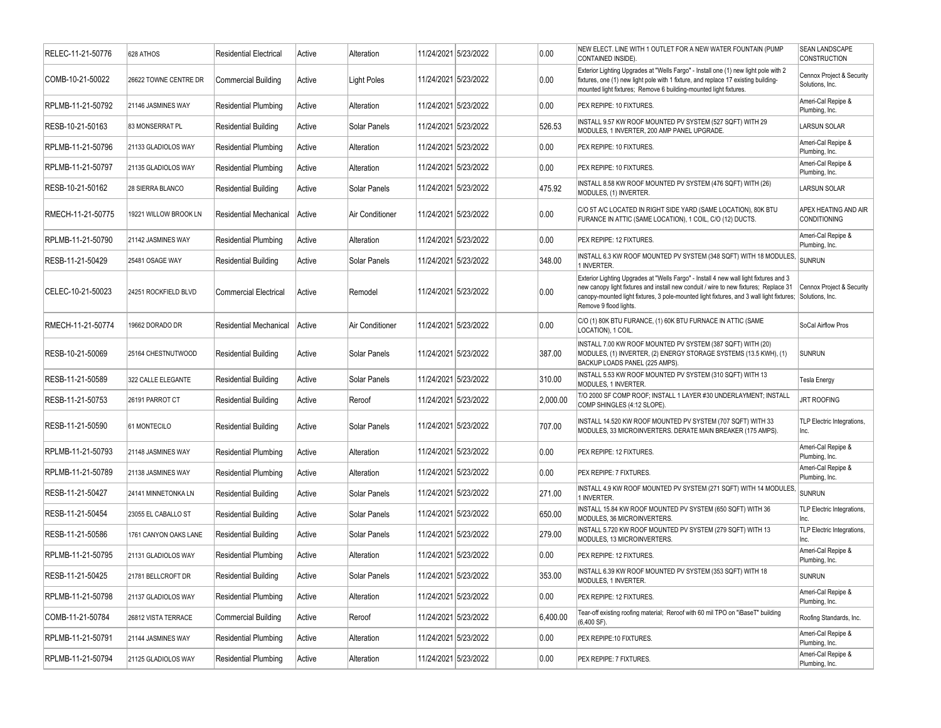| RELEC-11-21-50776 | 628 ATHOS             | <b>Residential Electrical</b> | Active | Alteration         |                      | 11/24/2021 5/23/2022 | 0.00     | NEW ELECT. LINE WITH 1 OUTLET FOR A NEW WATER FOUNTAIN (PUMP<br>CONTAINED INSIDE).                                                                                                                                                                                                                  | SEAN LANDSCAPE<br><b>CONSTRUCTION</b>        |
|-------------------|-----------------------|-------------------------------|--------|--------------------|----------------------|----------------------|----------|-----------------------------------------------------------------------------------------------------------------------------------------------------------------------------------------------------------------------------------------------------------------------------------------------------|----------------------------------------------|
| COMB-10-21-50022  | 26622 TOWNE CENTRE DR | <b>Commercial Building</b>    | Active | <b>Light Poles</b> |                      | 11/24/2021 5/23/2022 | 0.00     | Exterior Lighting Upgrades at "Wells Fargo" - Install one (1) new light pole with 2<br>fixtures, one (1) new light pole with 1 fixture, and replace 17 existing building-<br>mounted light fixtures; Remove 6 building-mounted light fixtures.                                                      | Cennox Project & Security<br>Solutions, Inc. |
| RPLMB-11-21-50792 | 21146 JASMINES WAY    | <b>Residential Plumbing</b>   | Active | Alteration         |                      | 11/24/2021 5/23/2022 | 0.00     | PEX REPIPE: 10 FIXTURES.                                                                                                                                                                                                                                                                            | Ameri-Cal Repipe &<br>Plumbing, Inc.         |
| RESB-10-21-50163  | 83 MONSERRAT PL       | <b>Residential Building</b>   | Active | Solar Panels       |                      | 11/24/2021 5/23/2022 | 526.53   | INSTALL 9.57 KW ROOF MOUNTED PV SYSTEM (527 SQFT) WITH 29<br>MODULES, 1 INVERTER, 200 AMP PANEL UPGRADE.                                                                                                                                                                                            | <b>LARSUN SOLAR</b>                          |
| RPLMB-11-21-50796 | 21133 GLADIOLOS WAY   | <b>Residential Plumbing</b>   | Active | Alteration         |                      | 11/24/2021 5/23/2022 | 0.00     | PEX REPIPE: 10 FIXTURES.                                                                                                                                                                                                                                                                            | Ameri-Cal Repipe &<br>Plumbing, Inc.         |
| RPLMB-11-21-50797 | 21135 GLADIOLOS WAY   | <b>Residential Plumbing</b>   | Active | Alteration         |                      | 11/24/2021 5/23/2022 | 0.00     | PEX REPIPE: 10 FIXTURES.                                                                                                                                                                                                                                                                            | Ameri-Cal Repipe &<br>Plumbing, Inc.         |
| RESB-10-21-50162  | 28 SIERRA BLANCO      | <b>Residential Building</b>   | Active | Solar Panels       |                      | 11/24/2021 5/23/2022 | 475.92   | INSTALL 8.58 KW ROOF MOUNTED PV SYSTEM (476 SQFT) WITH (26)<br>MODULES, (1) INVERTER.                                                                                                                                                                                                               | <b>LARSUN SOLAR</b>                          |
| RMECH-11-21-50775 | 19221 WILLOW BROOK LN | <b>Residential Mechanical</b> | Active | Air Conditioner    |                      | 11/24/2021 5/23/2022 | 0.00     | C/O 5T A/C LOCATED IN RIGHT SIDE YARD (SAME LOCATION), 80K BTU<br>FURANCE IN ATTIC (SAME LOCATION), 1 COIL, C/O (12) DUCTS.                                                                                                                                                                         | APEX HEATING AND AIR<br><b>CONDITIONING</b>  |
| RPLMB-11-21-50790 | 21142 JASMINES WAY    | <b>Residential Plumbing</b>   | Active | Alteration         |                      | 11/24/2021 5/23/2022 | 0.00     | PEX REPIPE: 12 FIXTURES.                                                                                                                                                                                                                                                                            | Ameri-Cal Repipe &<br>Plumbing, Inc.         |
| RESB-11-21-50429  | 25481 OSAGE WAY       | <b>Residential Building</b>   | Active | Solar Panels       |                      | 11/24/2021 5/23/2022 | 348.00   | INSTALL 6.3 KW ROOF MOUNTED PV SYSTEM (348 SQFT) WITH 18 MODULES,<br>1 INVERTER.                                                                                                                                                                                                                    | <b>SUNRUN</b>                                |
| CELEC-10-21-50023 | 24251 ROCKFIELD BLVD  | <b>Commercial Electrical</b>  | Active | Remodel            |                      | 11/24/2021 5/23/2022 | 0.00     | Exterior Lighting Upgrades at "Wells Fargo" - Install 4 new wall light fixtures and 3<br>new canopy light fixtures and install new conduit / wire to new fixtures; Replace 31<br>canopy-mounted light fixtures, 3 pole-mounted light fixtures, and 3 wall light fixtures;<br>Remove 9 flood lights. | Cennox Project & Security<br>Solutions, Inc. |
| RMECH-11-21-50774 | 19662 DORADO DR       | Residential Mechanical        | Active | Air Conditioner    |                      | 11/24/2021 5/23/2022 | 0.00     | C/O (1) 80K BTU FURANCE, (1) 60K BTU FURNACE IN ATTIC (SAME<br>LOCATION), 1 COIL                                                                                                                                                                                                                    | SoCal Airflow Pros                           |
| RESB-10-21-50069  | 25164 CHESTNUTWOOD    | <b>Residential Building</b>   | Active | Solar Panels       |                      | 11/24/2021 5/23/2022 | 387.00   | INSTALL 7.00 KW ROOF MOUNTED PV SYSTEM (387 SQFT) WITH (20)<br>MODULES, (1) INVERTER, (2) ENERGY STORAGE SYSTEMS (13.5 KWH), (1)<br>BACKUP LOADS PANEL (225 AMPS).                                                                                                                                  | <b>SUNRUN</b>                                |
| RESB-11-21-50589  | 322 CALLE ELEGANTE    | <b>Residential Building</b>   | Active | Solar Panels       |                      | 11/24/2021 5/23/2022 | 310.00   | INSTALL 5.53 KW ROOF MOUNTED PV SYSTEM (310 SQFT) WITH 13<br>MODULES. 1 INVERTER.                                                                                                                                                                                                                   | Tesla Energy                                 |
| RESB-11-21-50753  | 26191 PARROT CT       | <b>Residential Building</b>   | Active | Reroof             |                      | 11/24/2021 5/23/2022 | 2,000.00 | T/O 2000 SF COMP ROOF; INSTALL 1 LAYER #30 UNDERLAYMENT; INSTALL<br>COMP SHINGLES (4:12 SLOPE).                                                                                                                                                                                                     | <b>JRT ROOFING</b>                           |
| RESB-11-21-50590  | 61 MONTECILO          | <b>Residential Building</b>   | Active | Solar Panels       |                      | 11/24/2021 5/23/2022 | 707.00   | INSTALL 14.520 KW ROOF MOUNTED PV SYSTEM (707 SQFT) WITH 33<br>MODULES, 33 MICROINVERTERS. DERATE MAIN BREAKER (175 AMPS).                                                                                                                                                                          | TLP Electric Integrations,<br>Inc.           |
| RPLMB-11-21-50793 | 21148 JASMINES WAY    | <b>Residential Plumbing</b>   | Active | Alteration         |                      | 11/24/2021 5/23/2022 | 0.00     | PEX REPIPE: 12 FIXTURES.                                                                                                                                                                                                                                                                            | Ameri-Cal Repipe &<br>Plumbing, Inc.         |
| RPLMB-11-21-50789 | 21138 JASMINES WAY    | <b>Residential Plumbing</b>   | Active | Alteration         |                      | 11/24/2021 5/23/2022 | 0.00     | PEX REPIPE: 7 FIXTURES.                                                                                                                                                                                                                                                                             | Ameri-Cal Repipe &<br>Plumbing, Inc.         |
| RESB-11-21-50427  | 24141 MINNETONKA LN   | <b>Residential Building</b>   | Active | Solar Panels       |                      | 11/24/2021 5/23/2022 | 271.00   | INSTALL 4.9 KW ROOF MOUNTED PV SYSTEM (271 SQFT) WITH 14 MODULES,<br>1 INVERTER.                                                                                                                                                                                                                    | <b>SUNRUN</b>                                |
| RESB-11-21-50454  | 23055 EL CABALLO ST   | <b>Residential Building</b>   | Active | Solar Panels       |                      | 11/24/2021 5/23/2022 | 650.00   | INSTALL 15.84 KW ROOF MOUNTED PV SYSTEM (650 SQFT) WITH 36<br>MODULES, 36 MICROINVERTERS.                                                                                                                                                                                                           | TLP Electric Integrations,<br>Inc.           |
| RESB-11-21-50586  | 1761 CANYON OAKS LANE | <b>Residential Building</b>   | Active | Solar Panels       |                      | 11/24/2021 5/23/2022 | 279.00   | INSTALL 5.720 KW ROOF MOUNTED PV SYSTEM (279 SQFT) WITH 13<br>MODULES, 13 MICROINVERTERS.                                                                                                                                                                                                           | TLP Electric Integrations,<br>Inc.           |
| RPLMB-11-21-50795 | 21131 GLADIOLOS WAY   | <b>Residential Plumbing</b>   | Active | Alteration         |                      | 11/24/2021 5/23/2022 | 0.00     | PEX REPIPE: 12 FIXTURES.                                                                                                                                                                                                                                                                            | Ameri-Cal Repipe &<br>Plumbing, Inc.         |
| RESB-11-21-50425  | 21781 BELLCROFT DR    | <b>Residential Building</b>   | Active | Solar Panels       | 11/24/2021 5/23/2022 |                      | 353.00   | INSTALL 6.39 KW ROOF MOUNTED PV SYSTEM (353 SQFT) WITH 18<br>MODULES, 1 INVERTER.                                                                                                                                                                                                                   | <b>SUNRUN</b>                                |
| RPLMB-11-21-50798 | 21137 GLADIOLOS WAY   | <b>Residential Plumbing</b>   | Active | Alteration         |                      | 11/24/2021 5/23/2022 | 0.00     | PEX REPIPE: 12 FIXTURES.                                                                                                                                                                                                                                                                            | Ameri-Cal Repipe &<br>Plumbing, Inc.         |
| COMB-11-21-50784  | 26812 VISTA TERRACE   | <b>Commercial Building</b>    | Active | Reroof             |                      | 11/24/2021 5/23/2022 | 6,400.00 | Tear-off existing roofing material; Reroof with 60 mil TPO on "iBaseT" building<br>(6,400 SF).                                                                                                                                                                                                      | Roofing Standards, Inc.                      |
| RPLMB-11-21-50791 | 21144 JASMINES WAY    | <b>Residential Plumbing</b>   | Active | Alteration         |                      | 11/24/2021 5/23/2022 | 0.00     | PEX REPIPE:10 FIXTURES.                                                                                                                                                                                                                                                                             | Ameri-Cal Repipe &<br>Plumbing, Inc.         |
| RPLMB-11-21-50794 | 21125 GLADIOLOS WAY   | <b>Residential Plumbing</b>   | Active | Alteration         |                      | 11/24/2021 5/23/2022 | 0.00     | PEX REPIPE: 7 FIXTURES.                                                                                                                                                                                                                                                                             | Ameri-Cal Repipe &<br>Plumbing, Inc.         |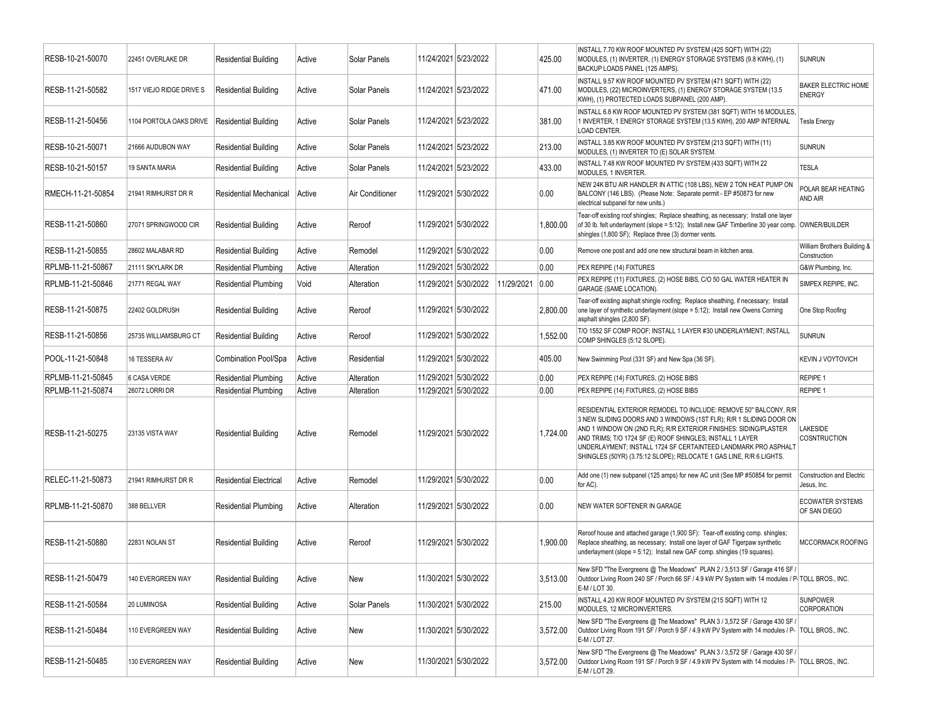| RESB-10-21-50070  | 22451 OVERLAKE DR        | <b>Residential Building</b>   | Active | Solar Panels    | 11/24/2021 5/23/2022 |            | 425.00   | INSTALL 7.70 KW ROOF MOUNTED PV SYSTEM (425 SQFT) WITH (22)<br>MODULES, (1) INVERTER, (1) ENERGY STORAGE SYSTEMS (9.8 KWH), (1)<br>BACKUP LOADS PANEL (125 AMPS).                                                                                                                                                                                                                                                | <b>SUNRUN</b>                                   |
|-------------------|--------------------------|-------------------------------|--------|-----------------|----------------------|------------|----------|------------------------------------------------------------------------------------------------------------------------------------------------------------------------------------------------------------------------------------------------------------------------------------------------------------------------------------------------------------------------------------------------------------------|-------------------------------------------------|
| RESB-11-21-50582  | 1517 VIEJO RIDGE DRIVE S | <b>Residential Building</b>   | Active | Solar Panels    | 11/24/2021 5/23/2022 |            | 471.00   | INSTALL 9.57 KW ROOF MOUNTED PV SYSTEM (471 SQFT) WITH (22)<br>MODULES, (22) MICROINVERTERS, (1) ENERGY STORAGE SYSTEM (13.5<br>KWH), (1) PROTECTED LOADS SUBPANEL (200 AMP).                                                                                                                                                                                                                                    | <b>BAKER ELECTRIC HOME</b><br><b>ENERGY</b>     |
| RESB-11-21-50456  | 1104 PORTOLA OAKS DRIVE  | Residential Building          | Active | Solar Panels    | 11/24/2021 5/23/2022 |            | 381.00   | INSTALL 6.8 KW ROOF MOUNTED PV SYSTEM (381 SQFT) WITH 16 MODULES,<br>1 INVERTER, 1 ENERGY STORAGE SYSTEM (13.5 KWH), 200 AMP INTERNAL<br><b>LOAD CENTER.</b>                                                                                                                                                                                                                                                     | <b>Tesla Energy</b>                             |
| RESB-10-21-50071  | 21666 AUDUBON WAY        | <b>Residential Building</b>   | Active | Solar Panels    | 11/24/2021 5/23/2022 |            | 213.00   | INSTALL 3.85 KW ROOF MOUNTED PV SYSTEM (213 SQFT) WITH (11)<br>MODULES, (1) INVERTER TO (E) SOLAR SYSTEM.                                                                                                                                                                                                                                                                                                        | <b>SUNRUN</b>                                   |
| RESB-10-21-50157  | 19 SANTA MARIA           | <b>Residential Building</b>   | Active | Solar Panels    | 11/24/2021 5/23/2022 |            | 433.00   | INSTALL 7.48 KW ROOF MOUNTED PV SYSTEM (433 SQFT) WITH 22<br>MODULES, 1 INVERTER.                                                                                                                                                                                                                                                                                                                                | <b>TESLA</b>                                    |
| RMECH-11-21-50854 | 21941 RIMHURST DR R      | Residential Mechanical        | Active | Air Conditioner | 11/29/2021 5/30/2022 |            | 0.00     | NEW 24K BTU AIR HANDLER IN ATTIC (108 LBS), NEW 2 TON HEAT PUMP ON<br>BALCONY (146 LBS). (Please Note: Separate permit - EP #50873 for new<br>electrical subpanel for new units.)                                                                                                                                                                                                                                | POLAR BEAR HEATING<br>AND AIR                   |
| RESB-11-21-50860  | 27071 SPRINGWOOD CIR     | <b>Residential Building</b>   | Active | Reroof          | 11/29/2021 5/30/2022 |            | 1,800.00 | Tear-off existing roof shingles; Replace sheathing, as necessary; Install one layer<br>of 30 lb. felt underlayment (slope = 5:12); Install new GAF Timberline 30 year comp. OWNER/BUILDER<br>shingles (1,800 SF); Replace three (3) dormer vents.                                                                                                                                                                |                                                 |
| RESB-11-21-50855  | 28602 MALABAR RD         | <b>Residential Building</b>   | Active | Remodel         | 11/29/2021 5/30/2022 |            | 0.00     | Remove one post and add one new structural beam in kitchen area.                                                                                                                                                                                                                                                                                                                                                 | William Brothers Building &<br>Construction     |
| RPLMB-11-21-50867 | 21111 SKYLARK DR         | <b>Residential Plumbing</b>   | Active | Alteration      | 11/29/2021 5/30/2022 |            | 0.00     | PEX REPIPE (14) FIXTURES                                                                                                                                                                                                                                                                                                                                                                                         | G&W Plumbing, Inc.                              |
| RPLMB-11-21-50846 | 21771 REGAL WAY          | <b>Residential Plumbing</b>   | Void   | Alteration      | 11/29/2021 5/30/2022 | 11/29/2021 | 0.00     | PEX REPIPE (11) FIXTURES, (2) HOSE BIBS, C/O 50 GAL WATER HEATER IN<br><b>GARAGE (SAME LOCATION).</b>                                                                                                                                                                                                                                                                                                            | SIMPEX REPIPE, INC.                             |
| RESB-11-21-50875  | 22402 GOLDRUSH           | <b>Residential Building</b>   | Active | Reroof          | 11/29/2021 5/30/2022 |            | 2,800.00 | Tear-off existing asphalt shingle roofing; Replace sheathing, if necessary; Install<br>one layer of synthetic underlayment (slope = 5:12); Install new Owens Corning<br>asphalt shingles (2,800 SF).                                                                                                                                                                                                             | One Stop Roofing                                |
| RESB-11-21-50856  | 25735 WILLIAMSBURG CT    | <b>Residential Building</b>   | Active | Reroof          | 11/29/2021 5/30/2022 |            | 1,552.00 | T/O 1552 SF COMP ROOF; INSTALL 1 LAYER #30 UNDERLAYMENT; INSTALL<br>COMP SHINGLES (5:12 SLOPE).                                                                                                                                                                                                                                                                                                                  | <b>SUNRUN</b>                                   |
| POOL-11-21-50848  | 16 TESSERA AV            | Combination Pool/Spa          | Active | Residential     | 11/29/2021 5/30/2022 |            | 405.00   | New Swimming Pool (331 SF) and New Spa (36 SF).                                                                                                                                                                                                                                                                                                                                                                  | <b>KEVIN J VOYTOVICH</b>                        |
| RPLMB-11-21-50845 | 6 CASA VERDE             | <b>Residential Plumbing</b>   | Active | Alteration      | 11/29/2021 5/30/2022 |            | 0.00     | PEX REPIPE (14) FIXTURES, (2) HOSE BIBS                                                                                                                                                                                                                                                                                                                                                                          | <b>REPIPE 1</b>                                 |
| RPLMB-11-21-50874 | 26072 LORRI DR           | <b>Residential Plumbing</b>   | Active | Alteration      | 11/29/2021 5/30/2022 |            | 0.00     | PEX REPIPE (14) FIXTURES, (2) HOSE BIBS                                                                                                                                                                                                                                                                                                                                                                          | REPIPE 1                                        |
| RESB-11-21-50275  | 23135 VISTA WAY          | <b>Residential Building</b>   | Active | Remodel         | 11/29/2021 5/30/2022 |            | 1,724.00 | RESIDENTIAL EXTERIOR REMODEL TO INCLUDE: REMOVE 50" BALCONY, R/R<br>3 NEW SLIDING DOORS AND 3 WINDOWS (1ST FLR); R/R 1 SLIDING DOOR ON<br>AND 1 WINDOW ON (2ND FLR); R/R EXTERIOR FINISHES: SIDING/PLASTER<br>AND TRIMS; T/O 1724 SF (E) ROOF SHINGLES; INSTALL 1 LAYER<br>UNDERLAYMENT; INSTALL 1724 SF CERTAINTEED LANDMARK PRO ASPHALT<br>SHINGLES (50YR) (3.75:12 SLOPE); RELOCATE 1 GAS LINE, R/R 6 LIGHTS. | LAKESIDE<br>COSNTRUCTION                        |
| RELEC-11-21-50873 | 21941 RIMHURST DR R      | <b>Residential Electrical</b> | Active | Remodel         | 11/29/2021 5/30/2022 |            | 0.00     | Add one (1) new subpanel (125 amps) for new AC unit (See MP #50854 for permit<br>for AC).                                                                                                                                                                                                                                                                                                                        | <b>Construction and Electric</b><br>Jesus, Inc. |
| RPLMB-11-21-50870 | 388 BELLVER              | <b>Residential Plumbing</b>   | Active | Alteration      | 11/29/2021 5/30/2022 |            | 0.00     | NEW WATER SOFTENER IN GARAGE                                                                                                                                                                                                                                                                                                                                                                                     | <b>ECOWATER SYSTEMS</b><br>OF SAN DIEGO         |
| RESB-11-21-50880  | 22831 NOLAN ST           | <b>Residential Building</b>   | Active | Reroof          | 11/29/2021 5/30/2022 |            | 1,900.00 | Reroof house and attached garage (1,900 SF): Tear-off existing comp. shingles;<br>Replace sheathing, as necessary; Install one layer of GAF Tigerpaw synthetic<br>underlayment (slope = 5:12); Install new GAF comp. shingles (19 squares).                                                                                                                                                                      | MCCORMACK ROOFING                               |
| RESB-11-21-50479  | 140 EVERGREEN WAY        | Residential Building          | Active | New             | 11/30/2021 5/30/2022 |            | 3,513.00 | New SFD "The Evergreens @ The Meadows" PLAN 2 / 3,513 SF / Garage 416 SF /<br>Outdoor Living Room 240 SF / Porch 66 SF / 4.9 kW PV System with 14 modules / P-TOLL BROS., INC.<br>E-M / LOT 30.                                                                                                                                                                                                                  |                                                 |
| RESB-11-21-50584  | 20 LUMINOSA              | <b>Residential Building</b>   | Active | Solar Panels    | 11/30/2021 5/30/2022 |            | 215.00   | INSTALL 4.20 KW ROOF MOUNTED PV SYSTEM (215 SQFT) WITH 12<br>MODULES, 12 MICROINVERTERS.                                                                                                                                                                                                                                                                                                                         | <b>SUNPOWER</b><br><b>CORPORATION</b>           |
| RESB-11-21-50484  | 110 EVERGREEN WAY        | <b>Residential Building</b>   | Active | New             | 11/30/2021 5/30/2022 |            | 3,572.00 | New SFD "The Evergreens @ The Meadows" PLAN 3 / 3,572 SF / Garage 430 SF /<br>Outdoor Living Room 191 SF / Porch 9 SF / 4.9 kW PV System with 14 modules / P- TOLL BROS., INC.<br>E-M / LOT 27.                                                                                                                                                                                                                  |                                                 |
| RESB-11-21-50485  | 130 EVERGREEN WAY        | <b>Residential Building</b>   | Active | New             | 11/30/2021 5/30/2022 |            | 3,572.00 | New SFD "The Evergreens @ The Meadows" PLAN 3 / 3,572 SF / Garage 430 SF /<br>Outdoor Living Room 191 SF / Porch 9 SF / 4.9 kW PV System with 14 modules / P- TOLL BROS., INC.<br>E-M / LOT 29.                                                                                                                                                                                                                  |                                                 |